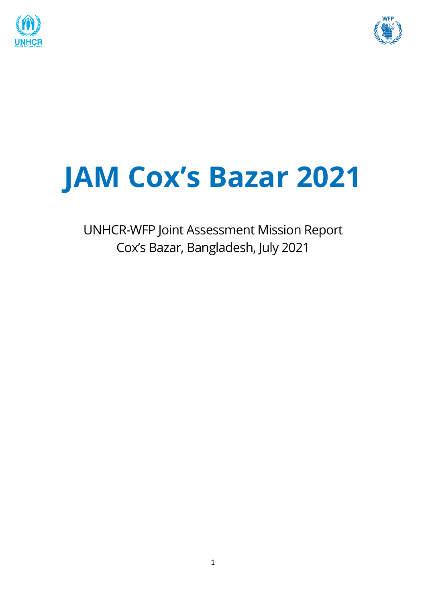



# **JAM Cox's Bazar 2021**

UNHCR-WFP Joint Assessment Mission Report Cox's Bazar, Bangladesh, July 2021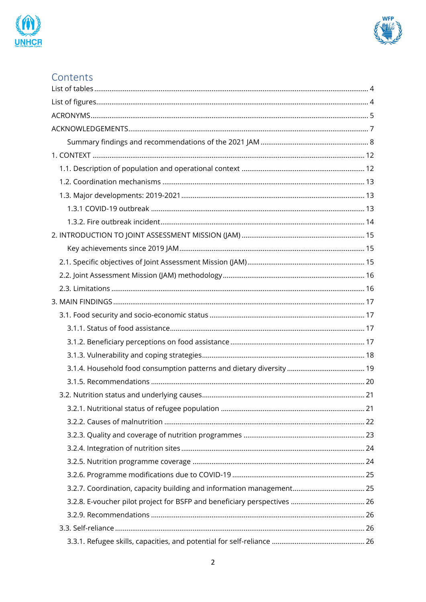



# Contents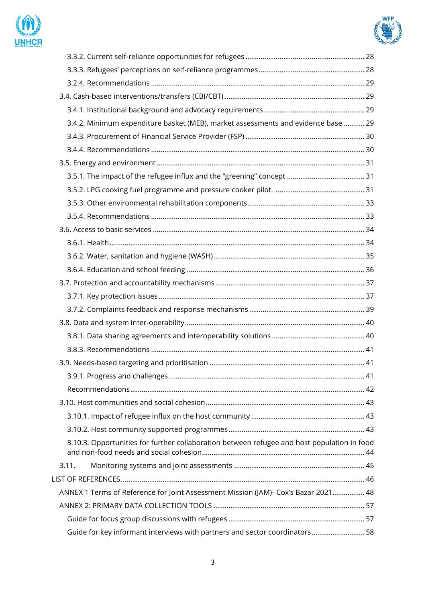



| 3.4.2. Minimum expenditure basket (MEB), market assessments and evidence base  29           |  |
|---------------------------------------------------------------------------------------------|--|
|                                                                                             |  |
|                                                                                             |  |
|                                                                                             |  |
|                                                                                             |  |
|                                                                                             |  |
|                                                                                             |  |
|                                                                                             |  |
|                                                                                             |  |
|                                                                                             |  |
|                                                                                             |  |
|                                                                                             |  |
|                                                                                             |  |
|                                                                                             |  |
|                                                                                             |  |
|                                                                                             |  |
|                                                                                             |  |
|                                                                                             |  |
|                                                                                             |  |
|                                                                                             |  |
|                                                                                             |  |
|                                                                                             |  |
|                                                                                             |  |
|                                                                                             |  |
| 3.10.3. Opportunities for further collaboration between refugee and host population in food |  |
| 3.11.                                                                                       |  |
|                                                                                             |  |
| ANNEX 1 Terms of Reference for Joint Assessment Mission (JAM)- Cox's Bazar 2021 48          |  |
|                                                                                             |  |
|                                                                                             |  |
| Guide for key informant interviews with partners and sector coordinators 58                 |  |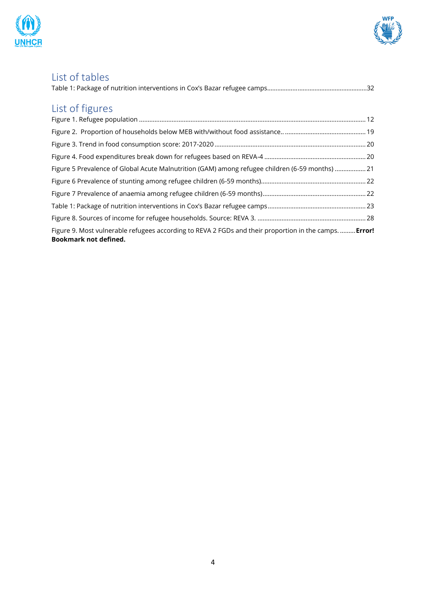



# <span id="page-3-0"></span>List of tables

# <span id="page-3-1"></span>List of figures

| Figure 5 Prevalence of Global Acute Malnutrition (GAM) among refugee children (6-59 months) 21                                       |  |
|--------------------------------------------------------------------------------------------------------------------------------------|--|
|                                                                                                                                      |  |
|                                                                                                                                      |  |
|                                                                                                                                      |  |
|                                                                                                                                      |  |
| Figure 9. Most vulnerable refugees according to REVA 2 FGDs and their proportion in the camps Error!<br><b>Bookmark not defined.</b> |  |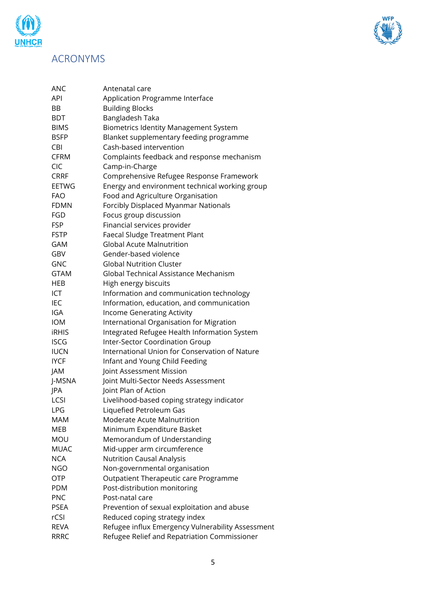

# <span id="page-4-0"></span>ACRONYMS

m

UNHCR

| <b>ANC</b>   | Antenatal care                                    |  |  |
|--------------|---------------------------------------------------|--|--|
| API          | Application Programme Interface                   |  |  |
| BB           | <b>Building Blocks</b>                            |  |  |
| <b>BDT</b>   | Bangladesh Taka                                   |  |  |
| <b>BIMS</b>  | <b>Biometrics Identity Management System</b>      |  |  |
| <b>BSFP</b>  | Blanket supplementary feeding programme           |  |  |
| CBI          | Cash-based intervention                           |  |  |
| <b>CFRM</b>  | Complaints feedback and response mechanism        |  |  |
| <b>CIC</b>   | Camp-in-Charge                                    |  |  |
| <b>CRRF</b>  | Comprehensive Refugee Response Framework          |  |  |
| <b>EETWG</b> | Energy and environment technical working group    |  |  |
| <b>FAO</b>   | Food and Agriculture Organisation                 |  |  |
| <b>FDMN</b>  | Forcibly Displaced Myanmar Nationals              |  |  |
| FGD          | Focus group discussion                            |  |  |
| <b>FSP</b>   | Financial services provider                       |  |  |
| <b>FSTP</b>  | <b>Faecal Sludge Treatment Plant</b>              |  |  |
| <b>GAM</b>   | <b>Global Acute Malnutrition</b>                  |  |  |
| GBV          | Gender-based violence                             |  |  |
| <b>GNC</b>   | <b>Global Nutrition Cluster</b>                   |  |  |
| <b>GTAM</b>  | Global Technical Assistance Mechanism             |  |  |
| HEB          | High energy biscuits                              |  |  |
| ICT          | Information and communication technology          |  |  |
| IEC          | Information, education, and communication         |  |  |
| IGA          | <b>Income Generating Activity</b>                 |  |  |
| <b>IOM</b>   | International Organisation for Migration          |  |  |
| <b>iRHIS</b> | Integrated Refugee Health Information System      |  |  |
| <b>ISCG</b>  | Inter-Sector Coordination Group                   |  |  |
| <b>IUCN</b>  | International Union for Conservation of Nature    |  |  |
| <b>IYCF</b>  | Infant and Young Child Feeding                    |  |  |
| JAM          | Joint Assessment Mission                          |  |  |
| J-MSNA       | Joint Multi-Sector Needs Assessment               |  |  |
| JPA          | Joint Plan of Action                              |  |  |
| LCSI         | Livelihood-based coping strategy indicator        |  |  |
| LPG          | Liquefied Petroleum Gas                           |  |  |
| <b>MAM</b>   | Moderate Acute Malnutrition                       |  |  |
| MEB          | Minimum Expenditure Basket                        |  |  |
| <b>MOU</b>   | Memorandum of Understanding                       |  |  |
| <b>MUAC</b>  | Mid-upper arm circumference                       |  |  |
| <b>NCA</b>   | <b>Nutrition Causal Analysis</b>                  |  |  |
| <b>NGO</b>   | Non-governmental organisation                     |  |  |
| <b>OTP</b>   | Outpatient Therapeutic care Programme             |  |  |
| <b>PDM</b>   | Post-distribution monitoring                      |  |  |
| <b>PNC</b>   | Post-natal care                                   |  |  |
| <b>PSEA</b>  | Prevention of sexual exploitation and abuse       |  |  |
| rCSI         | Reduced coping strategy index                     |  |  |
| <b>REVA</b>  | Refugee influx Emergency Vulnerability Assessment |  |  |
| <b>RRRC</b>  | Refugee Relief and Repatriation Commissioner      |  |  |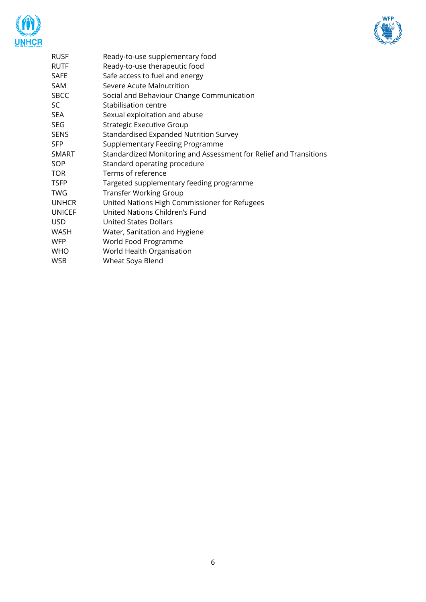



| RUSF         | Ready-to-use supplementary food                                   |
|--------------|-------------------------------------------------------------------|
| <b>RUTF</b>  | Ready-to-use therapeutic food                                     |
| SAFE         | Safe access to fuel and energy                                    |
| SAM          | Severe Acute Malnutrition                                         |
| SBCC         | Social and Behaviour Change Communication                         |
| SC           | Stabilisation centre                                              |
| SEA          | Sexual exploitation and abuse                                     |
| SEG          | Strategic Executive Group                                         |
| SENS         | Standardised Expanded Nutrition Survey                            |
| SFP          | Supplementary Feeding Programme                                   |
| SMART        | Standardized Monitoring and Assessment for Relief and Transitions |
| SOP          | Standard operating procedure                                      |
| TOR          | Terms of reference                                                |
| TSFP         | Targeted supplementary feeding programme                          |
| TWG          | <b>Transfer Working Group</b>                                     |
| <b>UNHCR</b> | United Nations High Commissioner for Refugees                     |
| UNICEF       | United Nations Children's Fund                                    |
| USD          | <b>United States Dollars</b>                                      |
| WASH         | Water, Sanitation and Hygiene                                     |
| WFP          | World Food Programme                                              |
| WHO          | World Health Organisation                                         |
| WSB          | Wheat Soya Blend                                                  |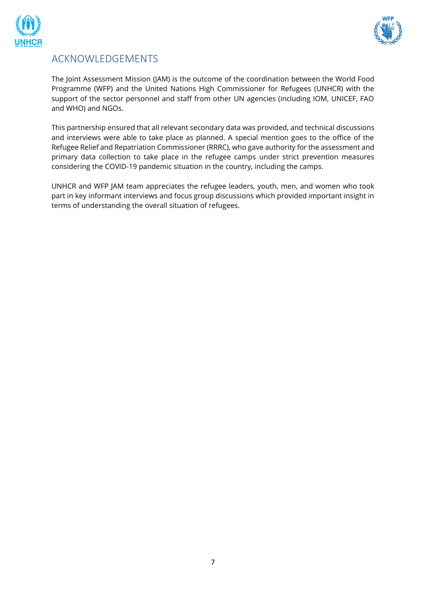



# <span id="page-6-0"></span>ACKNOWLEDGEMENTS

The Joint Assessment Mission (JAM) is the outcome of the coordination between the World Food Programme (WFP) and the United Nations High Commissioner for Refugees (UNHCR) with the support of the sector personnel and staff from other UN agencies (including IOM, UNICEF, FAO and WHO) and NGOs.

This partnership ensured that all relevant secondary data was provided, and technical discussions and interviews were able to take place as planned. A special mention goes to the office of the Refugee Relief and Repatriation Commissioner (RRRC), who gave authority for the assessment and primary data collection to take place in the refugee camps under strict prevention measures considering the COVID-19 pandemic situation in the country, including the camps.

UNHCR and WFP JAM team appreciates the refugee leaders, youth, men, and women who took part in key informant interviews and focus group discussions which provided important insight in terms of understanding the overall situation of refugees.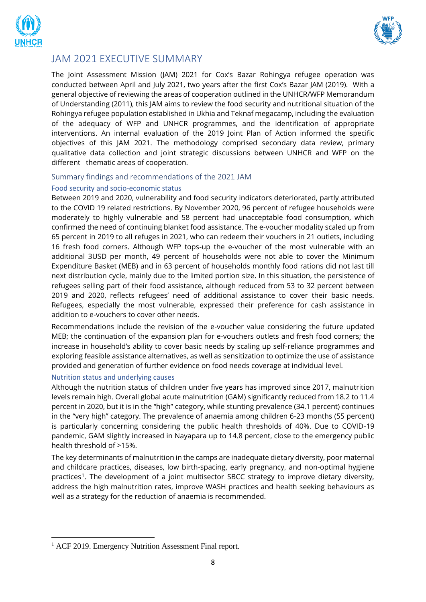



# JAM 2021 EXECUTIVE SUMMARY

The Joint Assessment Mission (JAM) 2021 for Cox's Bazar Rohingya refugee operation was conducted between April and July 2021, two years after the first Cox's Bazar JAM (2019). With a general objective of reviewing the areas of cooperation outlined in the UNHCR/WFP Memorandum of Understanding (2011), this JAM aims to review the food security and nutritional situation of the Rohingya refugee population established in Ukhia and Teknaf megacamp, including the evaluation of the adequacy of WFP and UNHCR programmes, and the identification of appropriate interventions. An internal evaluation of the 2019 Joint Plan of Action informed the specific objectives of this JAM 2021. The methodology comprised secondary data review, primary qualitative data collection and joint strategic discussions between UNHCR and WFP on the different thematic areas of cooperation.

#### <span id="page-7-0"></span>Summary findings and recommendations of the 2021 JAM

#### Food security and socio-economic status

Between 2019 and 2020, vulnerability and food security indicators deteriorated, partly attributed to the COVID 19 related restrictions. By November 2020, 96 percent of refugee households were moderately to highly vulnerable and 58 percent had unacceptable food consumption, which confirmed the need of continuing blanket food assistance. The e-voucher modality scaled up from 65 percent in 2019 to all refuges in 2021, who can redeem their vouchers in 21 outlets, including 16 fresh food corners. Although WFP tops-up the e-voucher of the most vulnerable with an additional 3USD per month, 49 percent of households were not able to cover the Minimum Expenditure Basket (MEB) and in 63 percent of households monthly food rations did not last till next distribution cycle, mainly due to the limited portion size. In this situation, the persistence of refugees selling part of their food assistance, although reduced from 53 to 32 percent between 2019 and 2020, reflects refugees' need of additional assistance to cover their basic needs. Refugees, especially the most vulnerable, expressed their preference for cash assistance in addition to e-vouchers to cover other needs.

Recommendations include the revision of the e-voucher value considering the future updated MEB; the continuation of the expansion plan for e-vouchers outlets and fresh food corners; the increase in household's ability to cover basic needs by scaling up self-reliance programmes and exploring feasible assistance alternatives, as well as sensitization to optimize the use of assistance provided and generation of further evidence on food needs coverage at individual level.

#### Nutrition status and underlying causes

Although the nutrition status of children under five years has improved since 2017, malnutrition levels remain high. Overall global acute malnutrition (GAM) significantly reduced from 18.2 to 11.4 percent in 2020, but it is in the "high" category, while stunting prevalence (34.1 percent) continues in the "very high" category. The prevalence of anaemia among children 6-23 months (55 percent) is particularly concerning considering the public health thresholds of 40%. Due to COVID-19 pandemic, GAM slightly increased in Nayapara up to 14.8 percent, close to the emergency public health threshold of >15%.

The key determinants of malnutrition in the camps are inadequate dietary diversity, poor maternal and childcare practices, diseases, low birth-spacing, early pregnancy, and non-optimal hygiene practices<sup>1</sup>. The development of a joint multisector SBCC strategy to improve dietary diversity, address the high malnutrition rates, improve WASH practices and health seeking behaviours as well as a strategy for the reduction of anaemia is recommended.

<sup>&</sup>lt;sup>1</sup> ACF 2019. Emergency Nutrition Assessment Final report.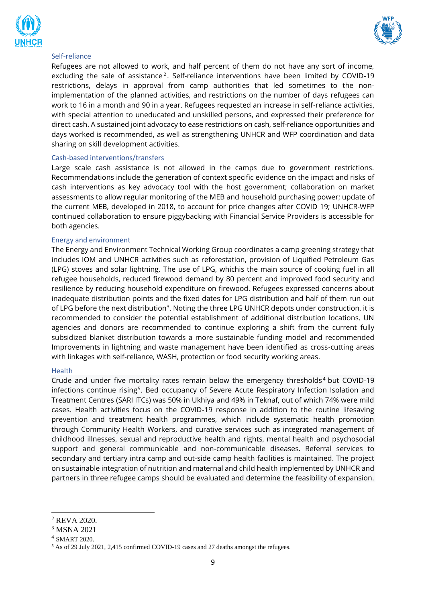



#### Self-reliance

Refugees are not allowed to work, and half percent of them do not have any sort of income, excluding the sale of assistance<sup>2</sup>. Self-reliance interventions have been limited by COVID-19 restrictions, delays in approval from camp authorities that led sometimes to the nonimplementation of the planned activities, and restrictions on the number of days refugees can work to 16 in a month and 90 in a year. Refugees requested an increase in self-reliance activities, with special attention to uneducated and unskilled persons, and expressed their preference for direct cash. A sustained joint advocacy to ease restrictions on cash, self-reliance opportunities and days worked is recommended, as well as strengthening UNHCR and WFP coordination and data sharing on skill development activities.

#### Cash-based interventions/transfers

Large scale cash assistance is not allowed in the camps due to government restrictions. Recommendations include the generation of context specific evidence on the impact and risks of cash interventions as key advocacy tool with the host government; collaboration on market assessments to allow regular monitoring of the MEB and household purchasing power; update of the current MEB, developed in 2018, to account for price changes after COVID 19; UNHCR-WFP continued collaboration to ensure piggybacking with Financial Service Providers is accessible for both agencies.

#### Energy and environment

The Energy and Environment Technical Working Group coordinates a camp greening strategy that includes IOM and UNHCR activities such as reforestation, provision of Liquified Petroleum Gas (LPG) stoves and solar lightning. The use of LPG, whichis the main source of cooking fuel in all refugee households, reduced firewood demand by 80 percent and improved food security and resilience by reducing household expenditure on firewood. Refugees expressed concerns about inadequate distribution points and the fixed dates for LPG distribution and half of them run out of LPG before the next distribution<sup>3</sup>. Noting the three LPG UNHCR depots under construction, it is recommended to consider the potential establishment of additional distribution locations. UN agencies and donors are recommended to continue exploring a shift from the current fully subsidized blanket distribution towards a more sustainable funding model and recommended Improvements in lightning and waste management have been identified as cross-cutting areas with linkages with self-reliance, WASH, protection or food security working areas.

#### Health

Crude and under five mortality rates remain below the emergency thresholds<sup>4</sup> but COVID-19 infections continue rising<sup>5</sup>. Bed occupancy of Severe Acute Respiratory Infection Isolation and Treatment Centres (SARI ITCs) was 50% in Ukhiya and 49% in Teknaf, out of which 74% were mild cases. Health activities focus on the COVID-19 response in addition to the routine lifesaving prevention and treatment health programmes, which include systematic health promotion through Community Health Workers, and curative services such as integrated management of childhood illnesses, sexual and reproductive health and rights, mental health and psychosocial support and general communicable and non-communicable diseases. Referral services to secondary and tertiary intra camp and out-side camp health facilities is maintained. The project on sustainable integration of nutrition and maternal and child health implemented by UNHCR and partners in three refugee camps should be evaluated and determine the feasibility of expansion.

<sup>2</sup> REVA 2020.

<sup>3</sup> MSNA 2021

<sup>4</sup> SMART 2020.

<sup>5</sup> As of 29 July 2021, 2,415 confirmed COVID-19 cases and 27 deaths amongst the refugees.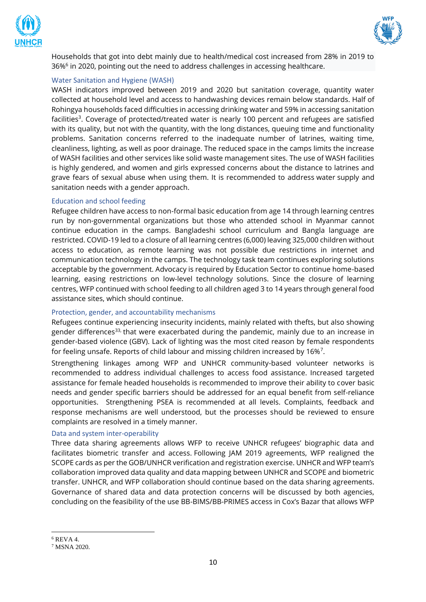



Households that got into debt mainly due to health/medical cost increased from 28% in 2019 to 36%<sup>6</sup> in 2020, pointing out the need to address challenges in accessing healthcare.

#### Water Sanitation and Hygiene (WASH)

WASH indicators improved between 2019 and 2020 but sanitation coverage, quantity water collected at household level and access to handwashing devices remain below standards. Half of Rohingya households faced difficulties in accessing drinking water and 59% in accessing sanitation facilities<sup>3</sup>. Coverage of protected/treated water is nearly 100 percent and refugees are satisfied with its quality, but not with the quantity, with the long distances, queuing time and functionality problems. Sanitation concerns referred to the inadequate number of latrines, waiting time, cleanliness, lighting, as well as poor drainage. The reduced space in the camps limits the increase of WASH facilities and other services like solid waste management sites. The use of WASH facilities is highly gendered, and women and girls expressed concerns about the distance to latrines and grave fears of sexual abuse when using them. It is recommended to address water supply and sanitation needs with a gender approach.

#### Education and school feeding

Refugee children have access to non-formal basic education from age 14 through learning centres run by non-governmental organizations but those who attended school in Myanmar cannot continue education in the camps. Bangladeshi school curriculum and Bangla language are restricted. COVID-19 led to a closure of all learning centres (6,000) leaving 325,000 children without access to education, as remote learning was not possible due restrictions in internet and communication technology in the camps. The technology task team continues exploring solutions acceptable by the government. Advocacy is required by Education Sector to continue home-based learning, easing restrictions on low-level technology solutions. Since the closure of learning centres, WFP continued with school feeding to all children aged 3 to 14 years through general food assistance sites, which should continue.

#### Protection, gender, and accountability mechanisms

Refugees continue experiencing insecurity incidents, mainly related with thefts, but also showing gender differences<sup>33,</sup> that were exacerbated during the pandemic, mainly due to an increase in gender-based violence (GBV). Lack of lighting was the most cited reason by female respondents for feeling unsafe. Reports of child labour and missing children increased by 16%<sup>7</sup>.

Strengthening linkages among WFP and UNHCR community-based volunteer networks is recommended to address individual challenges to access food assistance. Increased targeted assistance for female headed households is recommended to improve their ability to cover basic needs and gender specific barriers should be addressed for an equal benefit from self-reliance opportunities. Strengthening PSEA is recommended at all levels. Complaints, feedback and response mechanisms are well understood, but the processes should be reviewed to ensure complaints are resolved in a timely manner.

#### Data and system inter-operability

Three data sharing agreements allows WFP to receive UNHCR refugees' biographic data and facilitates biometric transfer and access. Following JAM 2019 agreements, WFP realigned the SCOPE cards as per the GOB/UNHCR verification and registration exercise. UNHCR and WFP team's collaboration improved data quality and data mapping between UNHCR and SCOPE and biometric transfer. UNHCR, and WFP collaboration should continue based on the data sharing agreements. Governance of shared data and data protection concerns will be discussed by both agencies, concluding on the feasibility of the use BB-BIMS/BB-PRIMES access in Cox's Bazar that allows WFP

<sup>6</sup> REVA 4.

<sup>7</sup> MSNA 2020.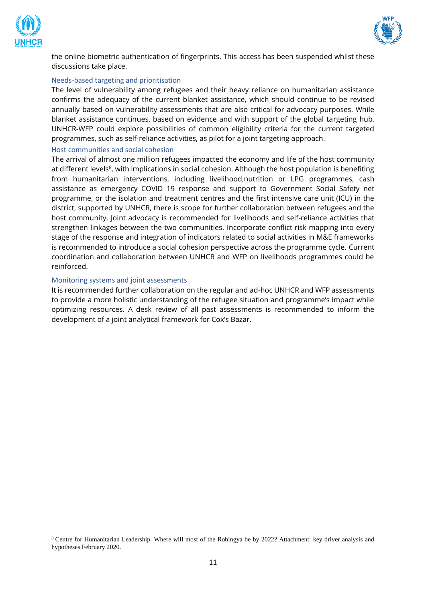



the online biometric authentication of fingerprints. This access has been suspended whilst these discussions take place.

#### Needs-based targeting and prioritisation

The level of vulnerability among refugees and their heavy reliance on humanitarian assistance confirms the adequacy of the current blanket assistance, which should continue to be revised annually based on vulnerability assessments that are also critical for advocacy purposes. While blanket assistance continues, based on evidence and with support of the global targeting hub, UNHCR-WFP could explore possibilities of common eligibility criteria for the current targeted programmes, such as self-reliance activities, as pilot for a joint targeting approach.

#### Host communities and social cohesion

The arrival of almost one million refugees impacted the economy and life of the host community at different levels<sup>8</sup>, with implications in social cohesion. Although the host population is benefiting from humanitarian interventions, including livelihood,nutrition or LPG programmes, cash assistance as emergency COVID 19 response and support to Government Social Safety net programme, or the isolation and treatment centres and the first intensive care unit (ICU) in the district, supported by UNHCR, there is scope for further collaboration between refugees and the host community. Joint advocacy is recommended for livelihoods and self-reliance activities that strengthen linkages between the two communities. Incorporate conflict risk mapping into every stage of the response and integration of indicators related to social activities in M&E frameworks is recommended to introduce a social cohesion perspective across the programme cycle. Current coordination and collaboration between UNHCR and WFP on livelihoods programmes could be reinforced.

#### Monitoring systems and joint assessments

It is recommended further collaboration on the regular and ad-hoc UNHCR and WFP assessments to provide a more holistic understanding of the refugee situation and programme's impact while optimizing resources. A desk review of all past assessments is recommended to inform the development of a joint analytical framework for Cox's Bazar.

<sup>8</sup> Centre for Humanitarian Leadership. Where will most of the Rohingya be by 2022? Attachment: key driver analysis and hypotheses February 2020.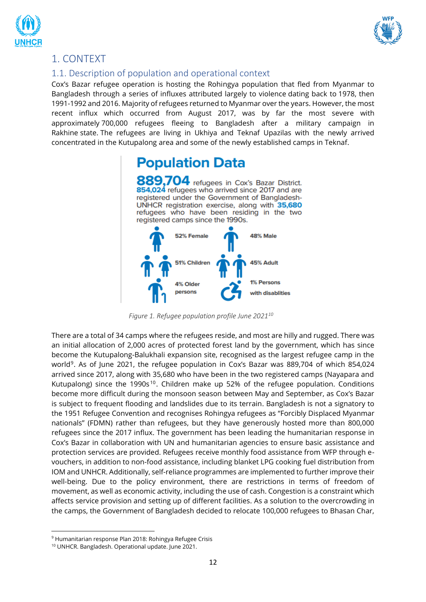



# <span id="page-11-0"></span>1. CONTEXT

# <span id="page-11-1"></span>1.1. Description of population and operational context

Cox's Bazar refugee operation is hosting the Rohingya population that fled from Myanmar to Bangladesh through a series of influxes attributed largely to violence dating back to 1978, then 1991-1992 and 2016. Majority of refugees returned to Myanmar over the years. However, the most recent influx which occurred from August 2017, was by far the most severe with approximately 700,000 refugees fleeing to Bangladesh after a military campaign in Rakhine state. The refugees are living in Ukhiya and Teknaf Upazilas with the newly arrived concentrated in the Kutupalong area and some of the newly established camps in Teknaf.



 *Figure 1. Refugee population profile June 2021<sup>10</sup>*

<span id="page-11-2"></span>There are a total of 34 camps where the refugees reside, and most are hilly and rugged. There was an initial allocation of 2,000 acres of protected forest land by the government, which has since become the Kutupalong-Balukhali expansion site, recognised as the largest refugee camp in the world<sup>9</sup>. As of June 2021, the refugee population in Cox's Bazar was 889,704 of which 854,024 arrived since 2017, along with 35,680 who have been in the two registered camps (Nayapara and Kutupalong) since the 1990s<sup>10</sup>. Children make up 52% of the refugee population. Conditions become more difficult during the monsoon season between May and September, as Cox's Bazar is subject to frequent flooding and landslides due to its terrain. Bangladesh is not a signatory to the 1951 Refugee Convention and recognises Rohingya refugees as "Forcibly Displaced Myanmar nationals" (FDMN) rather than refugees, but they have generously hosted more than 800,000 refugees since the 2017 influx. The government has been leading the humanitarian response in Cox's Bazar in collaboration with UN and humanitarian agencies to ensure basic assistance and protection services are provided. Refugees receive monthly food assistance from WFP through evouchers, in addition to non-food assistance, including blanket LPG cooking fuel distribution from IOM and UNHCR. Additionally, self-reliance programmes are implemented to further improve their well-being. Due to the policy environment, there are restrictions in terms of freedom of movement, as well as economic activity, including the use of cash. Congestion is a constraint which affects service provision and setting up of different facilities. As a solution to the overcrowding in the camps, the Government of Bangladesh decided to relocate 100,000 refugees to Bhasan Char,

<sup>9</sup> Humanitarian response Plan 2018: Rohingya Refugee Crisis

<sup>10</sup> UNHCR. Bangladesh. Operational update. June 2021.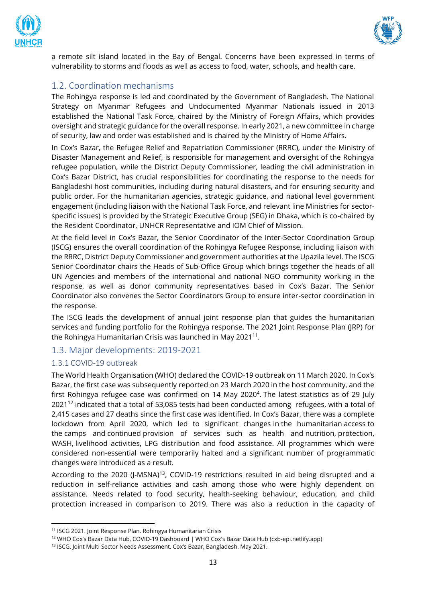



a remote silt island located in the Bay of Bengal. Concerns have been expressed in terms of vulnerability to storms and floods as well as access to food, water, schools, and health care.

# <span id="page-12-0"></span>1.2. Coordination mechanisms

The Rohingya response is led and coordinated by the Government of Bangladesh. The National Strategy on Myanmar Refugees and Undocumented Myanmar Nationals issued in 2013 established the National Task Force, chaired by the Ministry of Foreign Affairs, which provides oversight and strategic guidance for the overall response. In early 2021, a new committee in charge of security, law and order was established and is chaired by the Ministry of Home Affairs.

In Cox's Bazar, the Refugee Relief and Repatriation Commissioner (RRRC), under the Ministry of Disaster Management and Relief, is responsible for management and oversight of the Rohingya refugee population, while the District Deputy Commissioner, leading the civil administration in Cox's Bazar District, has crucial responsibilities for coordinating the response to the needs for Bangladeshi host communities, including during natural disasters, and for ensuring security and public order. For the humanitarian agencies, strategic guidance, and national level government engagement (including liaison with the National Task Force, and relevant line Ministries for sectorspecific issues) is provided by the Strategic Executive Group (SEG) in Dhaka, which is co-chaired by the Resident Coordinator, UNHCR Representative and IOM Chief of Mission.

At the field level in Cox's Bazar, the Senior Coordinator of the Inter-Sector Coordination Group (ISCG) ensures the overall coordination of the Rohingya Refugee Response, including liaison with the RRRC, District Deputy Commissioner and government authorities at the Upazila level. The ISCG Senior Coordinator chairs the Heads of Sub-Office Group which brings together the heads of all UN Agencies and members of the international and national NGO community working in the response, as well as donor community representatives based in Cox's Bazar. The Senior Coordinator also convenes the Sector Coordinators Group to ensure inter-sector coordination in the response.

The ISCG leads the development of annual joint response plan that guides the humanitarian services and funding portfolio for the Rohingya response. The 2021 Joint Response Plan (JRP) for the Rohingya Humanitarian Crisis was launched in May 2021<sup>11</sup>.

# <span id="page-12-1"></span>1.3. Major developments: 2019-2021

# <span id="page-12-2"></span>1.3.1 COVID-19 outbreak

The World Health Organisation (WHO) declared the COVID-19 outbreak on 11 March 2020. In Cox's Bazar, the first case was subsequently reported on 23 March 2020 in the host community, and the first Rohingya refugee case was confirmed on 14 May 2020<sup>4</sup>. The latest statistics as of 29 July 2021<sup>12</sup> indicated that a total of 53,085 tests had been conducted among refugees, with a total of 2,415 cases and 27 deaths since the first case was identified. In Cox's Bazar, there was a complete lockdown from April 2020, which led to significant changes in the humanitarian access to the camps and continued provision of services such as health and nutrition, protection, WASH, livelihood activities, LPG distribution and food assistance. All programmes which were considered non-essential were temporarily halted and a significant number of programmatic changes were introduced as a result.

According to the 2020 (I-MSNA)<sup>13</sup>, COVID-19 restrictions resulted in aid being disrupted and a reduction in self-reliance activities and cash among those who were highly dependent on assistance. Needs related to food security, health-seeking behaviour, education, and child protection increased in comparison to 2019. There was also a reduction in the capacity of

<sup>11</sup> [ISCG 2021. Joint Response Plan. Rohingya Humanitarian Crisis](https://reliefweb.int/sites/reliefweb.int/files/resources/2021_jrp_with_annexes.pdf) 

<sup>12</sup> WHO Cox's Bazar Data Hub, [COVID-19 Dashboard | WHO Cox's Bazar Data Hub \(cxb-epi.netlify.app\)](https://cxb-epi.netlify.app/post/covid-19-dashboard/)

<sup>13</sup> ISCG. Joint Multi Sector Needs Assessment. Cox's Bazar, Bangladesh. May 2021.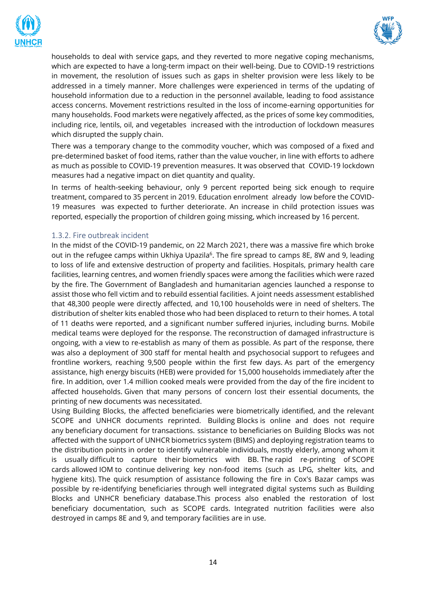



households to deal with service gaps, and they reverted to more negative coping mechanisms, which are expected to have a long-term impact on their well-being. Due to COVID-19 restrictions in movement, the resolution of issues such as gaps in shelter provision were less likely to be addressed in a timely manner. More challenges were experienced in terms of the updating of household information due to a reduction in the personnel available, leading to food assistance access concerns. Movement restrictions resulted in the loss of income-earning opportunities for many households. Food markets were negatively affected, as the prices of some key commodities, including rice, lentils, oil, and vegetables increased with the introduction of lockdown measures which disrupted the supply chain.

There was a temporary change to the commodity voucher, which was composed of a fixed and pre-determined basket of food items, rather than the value voucher, in line with efforts to adhere as much as possible to COVID-19 prevention measures. It was observed that COVID-19 lockdown measures had a negative impact on diet quantity and quality.

In terms of health-seeking behaviour, only 9 percent reported being sick enough to require treatment, compared to 35 percent in 2019. Education enrolment already low before the COVID-19 measures was expected to further deteriorate. An increase in child protection issues was reported, especially the proportion of children going missing, which increased by 16 percent.

#### <span id="page-13-0"></span>1.3.2. Fire outbreak incident

In the midst of the COVID-19 pandemic, on 22 March 2021, there was a massive fire which broke out in the refugee camps within Ukhiya Upazila<sup>6</sup>. The fire spread to camps 8E, 8W and 9, leading to loss of life and extensive destruction of property and facilities. Hospitals, primary health care facilities, learning centres, and women friendly spaces were among the facilities which were razed by the fire. The Government of Bangladesh and humanitarian agencies launched a response to assist those who fell victim and to rebuild essential facilities. A joint needs assessment established that 48,300 people were directly affected, and 10,100 households were in need of shelters. The distribution of shelter kits enabled those who had been displaced to return to their homes. A total of 11 deaths were reported, and a significant number suffered injuries, including burns. Mobile medical teams were deployed for the response. The reconstruction of damaged infrastructure is ongoing, with a view to re-establish as many of them as possible. As part of the response, there was also a deployment of 300 staff for mental health and psychosocial support to refugees and frontline workers, reaching 9,500 people within the first few days. As part of the emergency assistance, high energy biscuits (HEB) were provided for 15,000 households immediately after the fire. In addition, over 1.4 million cooked meals were provided from the day of the fire incident to affected households. Given that many persons of concern lost their essential documents, the printing of new documents was necessitated.

Using Building Blocks, the affected beneficiaries were biometrically identified, and the relevant SCOPE and UNHCR documents reprinted. Building Blocks is online and does not require any beneficiary document for transactions. ssistance to beneficiaries on Building Blocks was not affected with the support of UNHCR biometrics system (BIMS) and deploying registration teams to the distribution points in order to identify vulnerable individuals, mostly elderly, among whom it is usually difficult to capture their biometrics with BB. The rapid re-printing of SCOPE cards allowed IOM to continue delivering key non-food items (such as LPG, shelter kits, and hygiene kits). The quick resumption of assistance following the fire in Cox's Bazar camps was possible by re-identifying beneficiaries through well integrated digital systems such as Building Blocks and UNHCR beneficiary database.This process also enabled the restoration of lost beneficiary documentation, such as SCOPE cards. Integrated nutrition facilities were also destroyed in camps 8E and 9, and temporary facilities are in use.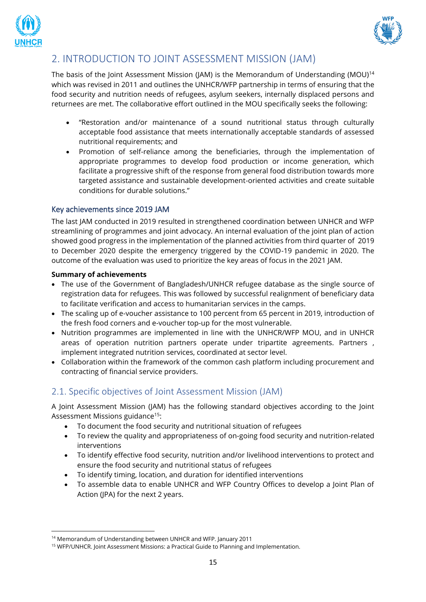



# <span id="page-14-0"></span>2. INTRODUCTION TO JOINT ASSESSMENT MISSION (JAM)

The basis of the Joint Assessment Mission (JAM) is the Memorandum of Understanding (MOU)<sup>14</sup> which was revised in 2011 and outlines the UNHCR/WFP partnership in terms of ensuring that the food security and nutrition needs of refugees, asylum seekers, internally displaced persons and returnees are met. The collaborative effort outlined in the MOU specifically seeks the following:

- "Restoration and/or maintenance of a sound nutritional status through culturally acceptable food assistance that meets internationally acceptable standards of assessed nutritional requirements; and
- Promotion of self-reliance among the beneficiaries, through the implementation of appropriate programmes to develop food production or income generation, which facilitate a progressive shift of the response from general food distribution towards more targeted assistance and sustainable development-oriented activities and create suitable conditions for durable solutions."

# <span id="page-14-1"></span>Key achievements since 2019 JAM

The last JAM conducted in 2019 resulted in strengthened coordination between UNHCR and WFP streamlining of programmes and joint advocacy. An internal evaluation of the joint plan of action showed good progress in the implementation of the planned activities from third quarter of 2019 to December 2020 despite the emergency triggered by the COVID-19 pandemic in 2020. The outcome of the evaluation was used to prioritize the key areas of focus in the 2021 JAM.

#### **Summary of achievements**

- The use of the Government of Bangladesh/UNHCR refugee database as the single source of registration data for refugees. This was followed by successful realignment of beneficiary data to facilitate verification and access to humanitarian services in the camps.
- The scaling up of e-voucher assistance to 100 percent from 65 percent in 2019, introduction of the fresh food corners and e-voucher top-up for the most vulnerable.
- Nutrition programmes are implemented in line with the UNHCR/WFP MOU, and in UNHCR areas of operation nutrition partners operate under tripartite agreements. Partners , implement integrated nutrition services, coordinated at sector level.
- Collaboration within the framework of the common cash platform including procurement and contracting of financial service providers.

# <span id="page-14-2"></span>2.1. Specific objectives of Joint Assessment Mission (JAM)

A Joint Assessment Mission (JAM) has the following standard objectives according to the Joint Assessment Missions guidance<sup>15</sup>:

- To document the food security and nutritional situation of refugees
- To review the quality and appropriateness of on-going food security and nutrition-related interventions
- To identify effective food security, nutrition and/or livelihood interventions to protect and ensure the food security and nutritional status of refugees
- To identify timing, location, and duration for identified interventions
- To assemble data to enable UNHCR and WFP Country Offices to develop a Joint Plan of Action (JPA) for the next 2 years.

<sup>&</sup>lt;sup>14</sup> Memorandum of Understanding between UNHCR and WFP. January 2011

<sup>&</sup>lt;sup>15</sup> WFP/UNHCR. Joint Assessment Missions: a Practical Guide to Planning and Implementation.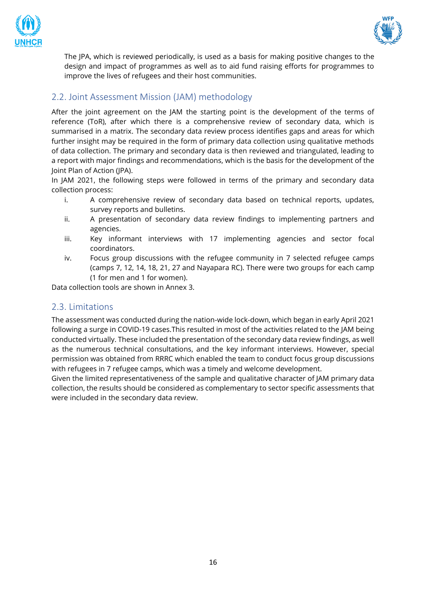



The JPA, which is reviewed periodically, is used as a basis for making positive changes to the design and impact of programmes as well as to aid fund raising efforts for programmes to improve the lives of refugees and their host communities.

# <span id="page-15-0"></span>2.2. Joint Assessment Mission (JAM) methodology

After the joint agreement on the JAM the starting point is the development of the terms of reference (ToR), after which there is a comprehensive review of secondary data, which is summarised in a matrix. The secondary data review process identifies gaps and areas for which further insight may be required in the form of primary data collection using qualitative methods of data collection. The primary and secondary data is then reviewed and triangulated, leading to a report with major findings and recommendations, which is the basis for the development of the Joint Plan of Action (JPA).

In JAM 2021, the following steps were followed in terms of the primary and secondary data collection process:

- i. A comprehensive review of secondary data based on technical reports, updates, survey reports and bulletins.
- ii. A presentation of secondary data review findings to implementing partners and agencies.
- iii. Key informant interviews with 17 implementing agencies and sector focal coordinators.
- iv. Focus group discussions with the refugee community in 7 selected refugee camps (camps 7, 12, 14, 18, 21, 27 and Nayapara RC). There were two groups for each camp (1 for men and 1 for women).

Data collection tools are shown in Annex 3.

# <span id="page-15-1"></span>2.3. Limitations

The assessment was conducted during the nation-wide lock-down, which began in early April 2021 following a surge in COVID-19 cases.This resulted in most of the activities related to the JAM being conducted virtually. These included the presentation of the secondary data review findings, as well as the numerous technical consultations, and the key informant interviews. However, special permission was obtained from RRRC which enabled the team to conduct focus group discussions with refugees in 7 refugee camps, which was a timely and welcome development.

Given the limited representativeness of the sample and qualitative character of JAM primary data collection, the results should be considered as complementary to sector specific assessments that were included in the secondary data review.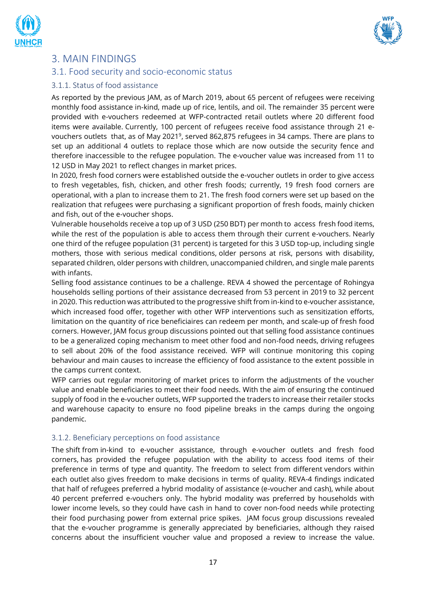



# <span id="page-16-0"></span>3. MAIN FINDINGS

# <span id="page-16-1"></span>3.1. Food security and socio-economic status

#### <span id="page-16-2"></span>3.1.1. Status of food assistance

As reported by the previous JAM, as of March 2019, about 65 percent of refugees were receiving monthly food assistance in-kind, made up of rice, lentils, and oil. The remainder 35 percent were provided with e-vouchers redeemed at WFP-contracted retail outlets where 20 different food items were available. Currently, 100 percent of refugees receive food assistance through 21 evouchers outlets that, as of May 2021<sup>9</sup>, served 862,875 refugees in 34 camps. There are plans to set up an additional 4 outlets to replace those which are now outside the security fence and therefore inaccessible to the refugee population. The e-voucher value was increased from 11 to 12 USD in May 2021 to reflect changes in market prices.

In 2020, fresh food corners were established outside the e-voucher outlets in order to give access to fresh vegetables, fish, chicken, and other fresh foods; currently, 19 fresh food corners are operational, with a plan to increase them to 21. The fresh food corners were set up based on the realization that refugees were purchasing a significant proportion of fresh foods, mainly chicken and fish, out of the e-voucher shops.

Vulnerable households receive a top up of 3 USD (250 BDT) per month to access fresh food items, while the rest of the population is able to access them through their current e-vouchers. Nearly one third of the refugee population (31 percent) is targeted for this 3 USD top-up, including single mothers, those with serious medical conditions, older persons at risk, persons with disability, separated children, older persons with children, unaccompanied children, and single male parents with infants.

Selling food assistance continues to be a challenge. REVA 4 showed the percentage of Rohingya households selling portions of their assistance decreased from 53 percent in 2019 to 32 percent in 2020. This reduction was attributed to the progressive shift from in-kind to e-voucher assistance, which increased food offer, together with other WFP interventions such as sensitization efforts, limitation on the quantity of rice beneficiaires can redeem per month, and scale-up of fresh food corners. However, JAM focus group discussions pointed out that selling food assistance continues to be a generalized coping mechanism to meet other food and non-food needs, driving refugees to sell about 20% of the food assistance received. WFP will continue monitoring this coping behaviour and main causes to increase the efficiency of food assistance to the extent possible in the camps current context.

WFP carries out regular monitoring of market prices to inform the adjustments of the voucher value and enable beneficiaries to meet their food needs. With the aim of ensuring the continued supply of food in the e-voucher outlets, WFP supported the traders to increase their retailer stocks and warehouse capacity to ensure no food pipeline breaks in the camps during the ongoing pandemic.

#### <span id="page-16-3"></span>3.1.2. Beneficiary perceptions on food assistance

The shift from in-kind to e-voucher assistance, through e-voucher outlets and fresh food corners, has provided the refugee population with the ability to access food items of their preference in terms of type and quantity. The freedom to select from different vendors within each outlet also gives freedom to make decisions in terms of quality. REVA-4 findings indicated that half of refugees preferred a hybrid modality of assistance (e-voucher and cash), while about 40 percent preferred e-vouchers only. The hybrid modality was preferred by households with lower income levels, so they could have cash in hand to cover non-food needs while protecting their food purchasing power from external price spikes. JAM focus group discussions revealed that the e-voucher programme is generally appreciated by beneficiaries, although they raised concerns about the insufficient voucher value and proposed a review to increase the value.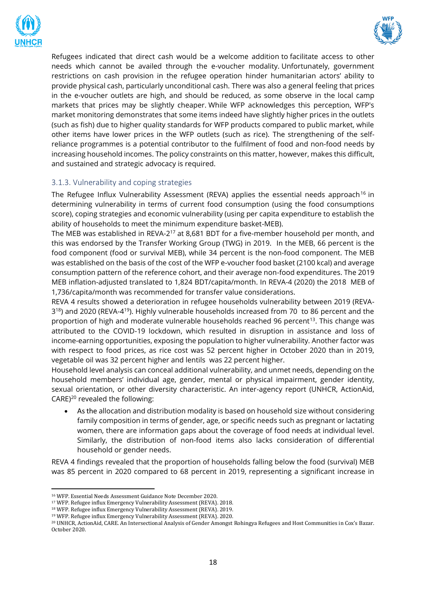



Refugees indicated that direct cash would be a welcome addition to facilitate access to other needs which cannot be availed through the e-voucher modality. Unfortunately, government restrictions on cash provision in the refugee operation hinder humanitarian actors' ability to provide physical cash, particularly unconditional cash. There was also a general feeling that prices in the e-voucher outlets are high, and should be reduced, as some observe in the local camp markets that prices may be slightly cheaper. While WFP acknowledges this perception, WFP's market monitoring demonstrates that some items indeed have slightly higher prices in the outlets (such as fish) due to higher quality standards for WFP products compared to public market, while other items have lower prices in the WFP outlets (such as rice). The strengthening of the selfreliance programmes is a potential contributor to the fulfilment of food and non-food needs by increasing household incomes. The policy constraints on this matter, however, makes this difficult, and sustained and strategic advocacy is required.

# <span id="page-17-0"></span>3.1.3. Vulnerability and coping strategies

The Refugee Influx Vulnerability Assessment (REVA) applies the essential needs approach<sup>16</sup> in determining vulnerability in terms of current food consumption (using the food consumptions score), coping strategies and economic vulnerability (using per capita expenditure to establish the ability of households to meet the minimum expenditure basket-MEB).

The MEB was established in REVA-2<sup>17</sup> at 8,681 BDT for a five-member household per month, and this was endorsed by the Transfer Working Group (TWG) in 2019. In the MEB, 66 percent is the food component (food or survival MEB), while 34 percent is the non-food component. The MEB was established on the basis of the cost of the WFP e-voucher food basket (2100 kcal) and average consumption pattern of the reference cohort, and their average non-food expenditures. The 2019 MEB inflation-adjusted translated to 1,824 BDT/capita/month. In REVA-4 (2020) the 2018 MEB of 1,736/capita/month was recommended for transfer value considerations.

REVA 4 results showed a deterioration in refugee households vulnerability between 2019 (REVA-3<sup>18</sup>) and 2020 (REVA-4<sup>19</sup>). Highly vulnerable households increased from 70 to 86 percent and the proportion of high and moderate vulnerable households reached 96 percent<sup>13</sup>. This change was attributed to the COVID-19 lockdown, which resulted in disruption in assistance and loss of income-earning opportunities, exposing the population to higher vulnerability. Another factor was with respect to food prices, as rice cost was 52 percent higher in October 2020 than in 2019, vegetable oil was 32 percent higher and lentils was 22 percent higher.

Household level analysis can conceal additional vulnerability, and unmet needs, depending on the household members' individual age, gender, mental or physical impairment, gender identity, sexual orientation, or other diversity characteristic. An inter-agency report (UNHCR, ActionAid,  $CARE<sup>20</sup>$  revealed the following:

• As the allocation and distribution modality is based on household size without considering family composition in terms of gender, age, or specific needs such as pregnant or lactating women, there are information gaps about the coverage of food needs at individual level. Similarly, the distribution of non-food items also lacks consideration of differential household or gender needs.

REVA 4 findings revealed that the proportion of households falling below the food (survival) MEB was 85 percent in 2020 compared to 68 percent in 2019, representing a significant increase in

<sup>16</sup> WFP. Essential Needs Assessment Guidance Note December 2020.

<sup>17</sup> WFP. Refugee influx Emergency Vulnerability Assessment (REVA). 2018.

<sup>18</sup> WFP. Refugee influx Emergency Vulnerability Assessment (REVA). 2019.

<sup>19</sup> WFP. Refugee influx Emergency Vulnerability Assessment (REVA). 2020.

<sup>20</sup> UNHCR, ActionAid, CARE. An Intersectional Analysis of Gender Amongst Rohingya Refugees and Host Communities in Cox's Bazar. October 2020.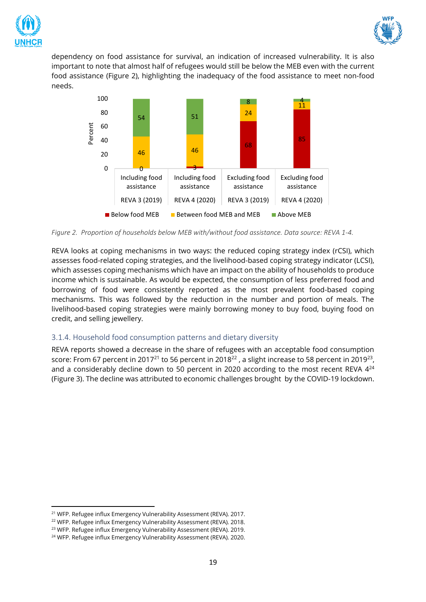



dependency on food assistance for survival, an indication of increased vulnerability. It is also important to note that almost half of refugees would still be below the MEB even with the current food assistance (Figure 2), highlighting the inadequacy of the food assistance to meet non-food needs.



<span id="page-18-1"></span>*Figure 2. Proportion of households below MEB with/without food assistance. Data source: REVA 1-4.* 

REVA looks at coping mechanisms in two ways: the reduced coping strategy index (rCSI), which assesses food-related coping strategies, and the livelihood-based coping strategy indicator (LCSI), which assesses coping mechanisms which have an impact on the ability of households to produce income which is sustainable. As would be expected, the consumption of less preferred food and borrowing of food were consistently reported as the most prevalent food-based coping mechanisms. This was followed by the reduction in the number and portion of meals. The livelihood-based coping strategies were mainly borrowing money to buy food, buying food on credit, and selling jewellery.

# <span id="page-18-0"></span>3.1.4. Household food consumption patterns and dietary diversity

REVA reports showed a decrease in the share of refugees with an acceptable food consumption score: From 67 percent in 2017<sup>21</sup> to 56 percent in 2018<sup>22</sup> , a slight increase to 58 percent in 2019<sup>23</sup>, and a considerably decline down to 50 percent in 2020 according to the most recent REVA  $4^{24}$ (Figure 3). The decline was attributed to economic challenges brought by the COVID-19 lockdown.

<sup>&</sup>lt;sup>21</sup> WFP. Refugee influx Emergency Vulnerability Assessment (REVA), 2017.

<sup>&</sup>lt;sup>22</sup> WFP. Refugee influx Emergency Vulnerability Assessment (REVA). 2018.

<sup>&</sup>lt;sup>23</sup> WFP. Refugee influx Emergency Vulnerability Assessment (REVA). 2019.

<sup>&</sup>lt;sup>24</sup> WFP. Refugee influx Emergency Vulnerability Assessment (REVA). 2020.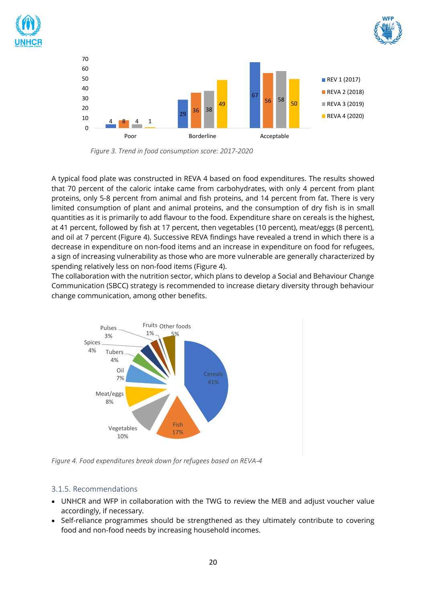





<span id="page-19-1"></span> *Figure 3. Trend in food consumption score: 2017-2020*

A typical food plate was constructed in REVA 4 based on food expenditures. The results showed that 70 percent of the caloric intake came from carbohydrates, with only 4 percent from plant proteins, only 5-8 percent from animal and fish proteins, and 14 percent from fat. There is very limited consumption of plant and animal proteins, and the consumption of dry fish is in small quantities as it is primarily to add flavour to the food. Expenditure share on cereals is the highest, at 41 percent, followed by fish at 17 percent, then vegetables (10 percent), meat/eggs (8 percent), and oil at 7 percent (Figure 4). Successive REVA findings have revealed a trend in which there is a decrease in expenditure on non-food items and an increase in expenditure on food for refugees, a sign of increasing vulnerability as those who are more vulnerable are generally characterized by spending relatively less on non-food items (Figure 4).

The collaboration with the nutrition sector, which plans to develop a Social and Behaviour Change Communication (SBCC) strategy is recommended to increase dietary diversity through behaviour change communication, among other benefits.



<span id="page-19-2"></span>*Figure 4. Food expenditures break down for refugees based on REVA-4*

# <span id="page-19-0"></span>3.1.5. Recommendations

- UNHCR and WFP in collaboration with the TWG to review the MEB and adjust voucher value accordingly, if necessary.
- Self-reliance programmes should be strengthened as they ultimately contribute to covering food and non-food needs by increasing household incomes.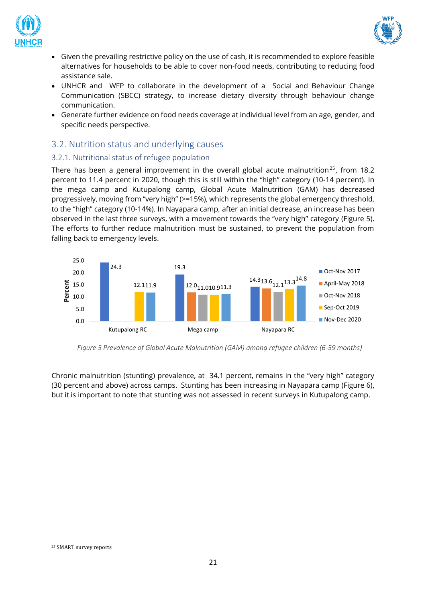



- Given the prevailing restrictive policy on the use of cash, it is recommended to explore feasible alternatives for households to be able to cover non-food needs, contributing to reducing food assistance sale.
- UNHCR and WFP to collaborate in the development of a Social and Behaviour Change Communication (SBCC) strategy, to increase dietary diversity through behaviour change communication.
- Generate further evidence on food needs coverage at individual level from an age, gender, and specific needs perspective.

# <span id="page-20-0"></span>3.2. Nutrition status and underlying causes

# <span id="page-20-1"></span>3.2.1. Nutritional status of refugee population

There has been a general improvement in the overall global acute malnutrition<sup>25</sup>, from 18.2 percent to 11.4 percent in 2020, though this is still within the "high" category (10-14 percent). In the mega camp and Kutupalong camp, Global Acute Malnutrition (GAM) has decreased progressively, moving from "very high" (>=15%), which represents the global emergency threshold, to the "high" category (10-14%). In Nayapara camp, after an initial decrease, an increase has been observed in the last three surveys, with a movement towards the "very high" category (Figure 5). The efforts to further reduce malnutrition must be sustained, to prevent the population from falling back to emergency levels.



<span id="page-20-2"></span>*Figure 5 Prevalence of Global Acute Malnutrition (GAM) among refugee children (6-59 months)*

Chronic malnutrition (stunting) prevalence, at 34.1 percent, remains in the "very high" category (30 percent and above) across camps. Stunting has been increasing in Nayapara camp (Figure 6), but it is important to note that stunting was not assessed in recent surveys in Kutupalong camp.

<sup>25</sup> SMART survey reports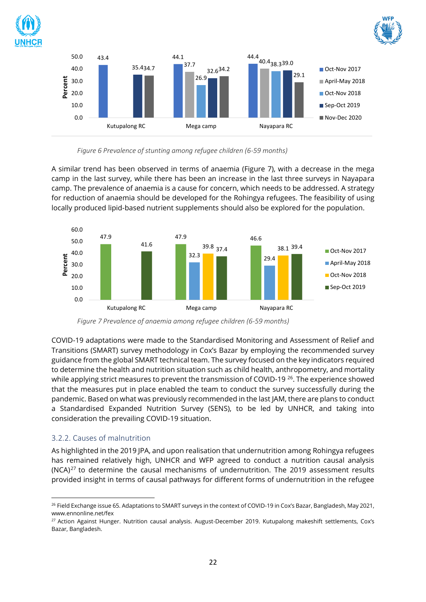





<span id="page-21-1"></span>

A similar trend has been observed in terms of anaemia (Figure 7), with a decrease in the mega camp in the last survey, while there has been an increase in the last three surveys in Nayapara camp. The prevalence of anaemia is a cause for concern, which needs to be addressed. A strategy for reduction of anaemia should be developed for the Rohingya refugees. The feasibility of using locally produced lipid-based nutrient supplements should also be explored for the population.



*Figure 7 Prevalence of anaemia among refugee children (6-59 months)*

<span id="page-21-2"></span>COVID-19 adaptations were made to the Standardised Monitoring and Assessment of Relief and Transitions (SMART) survey methodology in Cox's Bazar by employing the recommended survey guidance from the global SMART technical team. The survey focused on the key indicators required to determine the health and nutrition situation such as child health, anthropometry, and mortality while applying strict measures to prevent the transmission of COVID-19 <sup>26</sup>. The experience showed that the measures put in place enabled the team to conduct the survey successfully during the pandemic. Based on what was previously recommended in the last JAM, there are plans to conduct a Standardised Expanded Nutrition Survey (SENS), to be led by UNHCR, and taking into consideration the prevailing COVID-19 situation.

# <span id="page-21-0"></span>3.2.2. Causes of malnutrition

As highlighted in the 2019 JPA, and upon realisation that undernutrition among Rohingya refugees has remained relatively high, UNHCR and WFP agreed to conduct a nutrition causal analysis  $(NCA)^{27}$  to determine the causal mechanisms of undernutrition. The 2019 assessment results provided insight in terms of causal pathways for different forms of undernutrition in the refugee

<sup>&</sup>lt;sup>26</sup> Field Exchange issue 65. Adaptations to SMART surveys in the context of COVID-19 in Cox's Bazar, Bangladesh, May 2021, www.ennonline.net/fex

<sup>&</sup>lt;sup>27</sup> Action Against Hunger. Nutrition causal analysis. August-December 2019. Kutupalong makeshift settlements, Cox's Bazar, Bangladesh.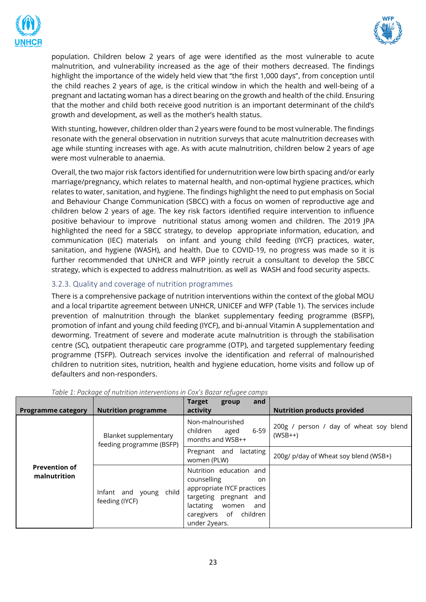



population. Children below 2 years of age were identified as the most vulnerable to acute malnutrition, and vulnerability increased as the age of their mothers decreased. The findings highlight the importance of the widely held view that "the first 1,000 days", from conception until the child reaches 2 years of age, is the critical window in which the health and well-being of a pregnant and lactating woman has a direct bearing on the growth and health of the child. Ensuring that the mother and child both receive good nutrition is an important determinant of the child's growth and development, as well as the mother's health status.

With stunting, however, children older than 2 years were found to be most vulnerable. The findings resonate with the general observation in nutrition surveys that acute malnutrition decreases with age while stunting increases with age. As with acute malnutrition, children below 2 years of age were most vulnerable to anaemia.

Overall, the two major risk factors identified for undernutrition were low birth spacing and/or early marriage/pregnancy, which relates to maternal health, and non-optimal hygiene practices, which relates to water, sanitation, and hygiene. The findings highlight the need to put emphasis on Social and Behaviour Change Communication (SBCC) with a focus on women of reproductive age and children below 2 years of age. The key risk factors identified require intervention to influence positive behaviour to improve nutritional status among women and children. The 2019 JPA highlighted the need for a SBCC strategy, to develop appropriate information, education, and communication (IEC) materials on infant and young child feeding (IYCF) practices, water, sanitation, and hygiene (WASH), and health. Due to COVID-19, no progress was made so it is further recommended that UNHCR and WFP jointly recruit a consultant to develop the SBCC strategy, which is expected to address malnutrition. as well as WASH and food security aspects.

# <span id="page-22-0"></span>3.2.3. Quality and coverage of nutrition programmes

There is a comprehensive package of nutrition interventions within the context of the global MOU and a local tripartite agreement between UNHCR, UNICEF and WFP (Table 1). The services include prevention of malnutrition through the blanket supplementary feeding programme (BSFP), promotion of infant and young child feeding (IYCF), and bi-annual Vitamin A supplementation and deworming. Treatment of severe and moderate acute malnutrition is through the stabilisation centre (SC), outpatient therapeutic care programme (OTP), and targeted supplementary feeding programme (TSFP). Outreach services involve the identification and referral of malnourished children to nutrition sites, nutrition, health and hygiene education, home visits and follow up of defaulters and non-responders.

| <b>Programme category</b>            | <b>Nutrition programme</b>                        | <b>Target</b><br>and<br>group<br>activity                                                                                                                                                | <b>Nutrition products provided</b>                  |
|--------------------------------------|---------------------------------------------------|------------------------------------------------------------------------------------------------------------------------------------------------------------------------------------------|-----------------------------------------------------|
| <b>Prevention of</b><br>malnutrition | Blanket supplementary<br>feeding programme (BSFP) | Non-malnourished<br>children<br>6-59<br>aged<br>months and WSB++                                                                                                                         | 200g / person / day of wheat soy blend<br>$(WSB++)$ |
|                                      |                                                   | Pregnant and<br>lactating<br>women (PLW)                                                                                                                                                 | 200g/ p/day of Wheat soy blend (WSB+)               |
|                                      | Infant and young child<br>feeding (IYCF)          | Nutrition education and<br>counselling<br>on<br>appropriate IYCF practices<br>targeting<br>pregnant<br>and<br>lactating<br>women<br>and<br>children<br>of<br>caregivers<br>under 2years. |                                                     |

#### <span id="page-22-1"></span>*Table 1: Package of nutrition interventions in Cox's Bazar refugee camps*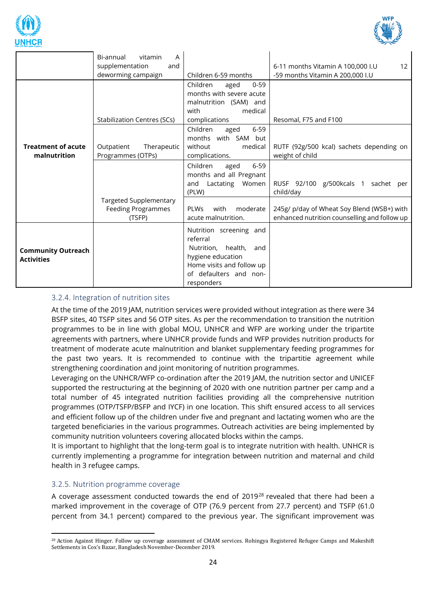



|                                                | Bi-annual<br>vitamin<br>A<br>supplementation<br>and<br>deworming campaign | Children 6-59 months                                                                                                                                          | 6-11 months Vitamin A 100,000 I.U<br>12<br>-59 months Vitamin A 200,000 I.U                |
|------------------------------------------------|---------------------------------------------------------------------------|---------------------------------------------------------------------------------------------------------------------------------------------------------------|--------------------------------------------------------------------------------------------|
|                                                | <b>Stabilization Centres (SCs)</b>                                        | Children<br>$0 - 59$<br>aged<br>months with severe acute<br>malnutrition (SAM) and<br>medical<br>with<br>complications                                        | Resomal, F75 and F100                                                                      |
| <b>Treatment of acute</b><br>malnutrition      | Outpatient<br>Therapeutic<br>Programmes (OTPs)                            | Children<br>$6 - 59$<br>aged<br>months with SAM but<br>without<br>medical<br>complications.                                                                   | RUTF (92g/500 kcal) sachets depending on<br>weight of child                                |
|                                                |                                                                           | Children<br>$6 - 59$<br>aged<br>months and all Pregnant<br>Women<br>Lactating<br>and<br>(PLW)                                                                 | RUSF 92/100 g/500kcals 1 sachet per<br>child/day                                           |
|                                                | <b>Targeted Supplementary</b><br><b>Feeding Programmes</b><br>(TSFP)      | <b>PLWs</b><br>with<br>moderate<br>acute malnutrition.                                                                                                        | 245g/ p/day of Wheat Soy Blend (WSB+) with<br>enhanced nutrition counselling and follow up |
| <b>Community Outreach</b><br><b>Activities</b> |                                                                           | Nutrition screening and<br>referral<br>health,<br>Nutrition,<br>and<br>hygiene education<br>Home visits and follow up<br>of defaulters and non-<br>responders |                                                                                            |

## <span id="page-23-0"></span>3.2.4. Integration of nutrition sites

At the time of the 2019 JAM, nutrition services were provided without integration as there were 34 BSFP sites, 40 TSFP sites and 56 OTP sites. As per the recommendation to transition the nutrition programmes to be in line with global MOU, UNHCR and WFP are working under the tripartite agreements with partners, where UNHCR provide funds and WFP provides nutrition products for treatment of moderate acute malnutrition and blanket supplementary feeding programmes for the past two years. It is recommended to continue with the tripartitie agreement while strengthening coordination and joint monitoring of nutrition programmes.

Leveraging on the UNHCR/WFP co-ordination after the 2019 JAM, the nutrition sector and UNICEF supported the restructuring at the beginning of 2020 with one nutrition partner per camp and a total number of 45 integrated nutrition facilities providing all the comprehensive nutrition programmes (OTP/TSFP/BSFP and IYCF) in one location. This shift ensured access to all services and efficient follow up of the children under five and pregnant and lactating women who are the targeted beneficiaries in the various programmes. Outreach activities are being implemented by community nutrition volunteers covering allocated blocks within the camps.

It is important to highlight that the long-term goal is to integrate nutrition with health. UNHCR is currently implementing a programme for integration between nutrition and maternal and child health in 3 refugee camps.

#### <span id="page-23-1"></span>3.2.5. Nutrition programme coverage

A coverage assessment conducted towards the end of 2019<sup>28</sup> revealed that there had been a marked improvement in the coverage of OTP (76.9 percent from 27.7 percent) and TSFP (61.0 percent from 34.1 percent) compared to the previous year. The significant improvement was

<sup>28</sup> Action Against Hinger. Follow up coverage assessment of CMAM services. Rohingya Registered Refugee Camps and Makeshift Settlements in Cox's Bazar, Bangladesh November-December 2019.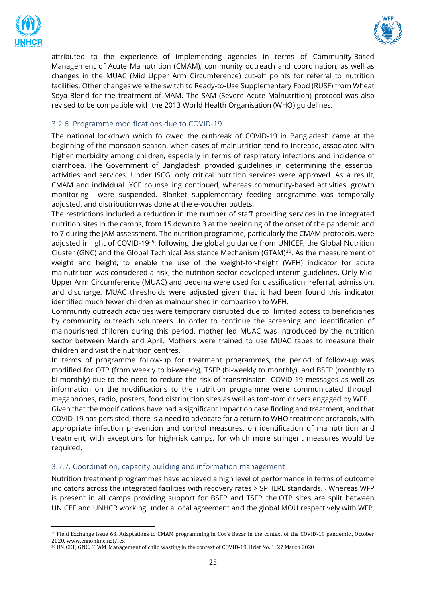



attributed to the experience of implementing agencies in terms of Community-Based Management of Acute Malnutrition (CMAM), community outreach and coordination, as well as changes in the MUAC (Mid Upper Arm Circumference) cut-off points for referral to nutrition facilities. Other changes were the switch to Ready-to-Use Supplementary Food (RUSF) from Wheat Soya Blend for the treatment of MAM. The SAM (Severe Acute Malnutrition) protocol was also revised to be compatible with the 2013 World Health Organisation (WHO) guidelines.

#### <span id="page-24-0"></span>3.2.6. Programme modifications due to COVID-19

The national lockdown which followed the outbreak of COVID-19 in Bangladesh came at the beginning of the monsoon season, when cases of malnutrition tend to increase, associated with higher morbidity among children, especially in terms of respiratory infections and incidence of diarrhoea. The Government of Bangladesh provided guidelines in determining the essential activities and services. Under ISCG, only critical nutrition services were approved. As a result, CMAM and individual IYCF counselling continued, whereas community-based activities, growth monitoring were suspended. Blanket supplementary feeding programme was temporally adjusted, and distribution was done at the e-voucher outlets.

The restrictions included a reduction in the number of staff providing services in the integrated nutrition sites in the camps, from 15 down to 3 at the beginning of the onset of the pandemic and to 7 during the JAM assessment. The nutrition programme, particularly the CMAM protocols, were adjusted in light of COVID-19<sup>29</sup>, following the global guidance from UNICEF, the Global Nutrition Cluster (GNC) and the Global Technical Assistance Mechanism (GTAM) $30$ . As the measurement of weight and height, to enable the use of the weight-for-height (WFH) indicator for acute malnutrition was considered a risk, the nutrition sector developed interim guidelines. Only Mid-Upper Arm Circumference (MUAC) and oedema were used for classification, referral, admission, and discharge. MUAC thresholds were adjusted given that it had been found this indicator identified much fewer children as malnourished in comparison to WFH.

Community outreach activities were temporary disrupted due to limited access to beneficiaries by community outreach volunteers. In order to continue the screening and identification of malnourished children during this period, mother led MUAC was introduced by the nutrition sector between March and April. Mothers were trained to use MUAC tapes to measure their children and visit the nutrition centres.

In terms of programme follow-up for treatment programmes, the period of follow-up was modified for OTP (from weekly to bi-weekly), TSFP (bi-weekly to monthly), and BSFP (monthly to bi-monthly) due to the need to reduce the risk of transmission. COVID-19 messages as well as information on the modifications to the nutrition programme were communicated through megaphones, radio, posters, food distribution sites as well as tom-tom drivers engaged by WFP.

Given that the modifications have had a significant impact on case finding and treatment, and that COVID-19 has persisted, there is a need to advocate for a return to WHO treatment protocols, with appropriate infection prevention and control measures, on identification of malnutrition and treatment, with exceptions for high-risk camps, for which more stringent measures would be required.

#### <span id="page-24-1"></span>3.2.7. Coordination, capacity building and information management

Nutrition treatment programmes have achieved a high level of performance in terms of outcome indicators across the integrated facilities with recovery rates > SPHERE standards. - Whereas WFP is present in all camps providing support for BSFP and TSFP, the OTP sites are split between UNICEF and UNHCR working under a local agreement and the global MOU respectively with WFP.

<sup>29</sup> Field Exchange issue 63. Adaptations to CMAM programming in Cox's Bazar in the context of the COVID-19 pandemic., October 2020, www.ennonline.net/fex

<sup>30</sup> UNICEF, GNC, GTAM. Management of child wasting in the context of COVID-19. Brief No. 1, 27 March 2020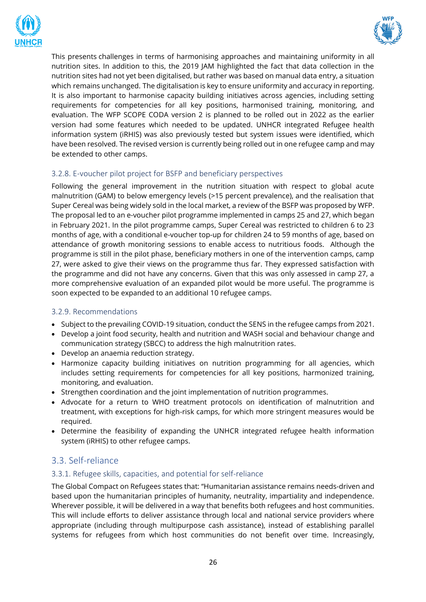



This presents challenges in terms of harmonising approaches and maintaining uniformity in all nutrition sites. In addition to this, the 2019 JAM highlighted the fact that data collection in the nutrition sites had not yet been digitalised, but rather was based on manual data entry, a situation which remains unchanged. The digitalisation is key to ensure uniformity and accuracy in reporting. It is also important to harmonise capacity building initiatives across agencies, including setting requirements for competencies for all key positions, harmonised training, monitoring, and evaluation. The WFP SCOPE CODA version 2 is planned to be rolled out in 2022 as the earlier version had some features which needed to be updated. UNHCR integrated Refugee health information system (iRHIS) was also previously tested but system issues were identified, which have been resolved. The revised version is currently being rolled out in one refugee camp and may be extended to other camps.

# <span id="page-25-0"></span>3.2.8. E-voucher pilot project for BSFP and beneficiary perspectives

Following the general improvement in the nutrition situation with respect to global acute malnutrition (GAM) to below emergency levels (>15 percent prevalence), and the realisation that Super Cereal was being widely sold in the local market, a review of the BSFP was proposed by WFP. The proposal led to an e-voucher pilot programme implemented in camps 25 and 27, which began in February 2021. In the pilot programme camps, Super Cereal was restricted to children 6 to 23 months of age, with a conditional e-voucher top-up for children 24 to 59 months of age, based on attendance of growth monitoring sessions to enable access to nutritious foods. Although the programme is still in the pilot phase, beneficiary mothers in one of the intervention camps, camp 27, were asked to give their views on the programme thus far. They expressed satisfaction with the programme and did not have any concerns. Given that this was only assessed in camp 27, a more comprehensive evaluation of an expanded pilot would be more useful. The programme is soon expected to be expanded to an additional 10 refugee camps.

# <span id="page-25-1"></span>3.2.9. Recommendations

- Subject to the prevailing COVID-19 situation, conduct the SENS in the refugee camps from 2021.
- Develop a joint food security, health and nutrition and WASH social and behaviour change and communication strategy (SBCC) to address the high malnutrition rates.
- Develop an anaemia reduction strategy.
- Harmonize capacity building initiatives on nutrition programming for all agencies, which includes setting requirements for competencies for all key positions, harmonized training, monitoring, and evaluation.
- Strengthen coordination and the joint implementation of nutrition programmes.
- Advocate for a return to WHO treatment protocols on identification of malnutrition and treatment, with exceptions for high-risk camps, for which more stringent measures would be required.
- Determine the feasibility of expanding the UNHCR integrated refugee health information system (iRHIS) to other refugee camps.

# <span id="page-25-2"></span>3.3. Self-reliance

# <span id="page-25-3"></span>3.3.1. Refugee skills, capacities, and potential for self-reliance

The Global Compact on Refugees states that: "Humanitarian assistance remains needs-driven and based upon the humanitarian principles of humanity, neutrality, impartiality and independence. Wherever possible, it will be delivered in a way that benefits both refugees and host communities. This will include efforts to deliver assistance through local and national service providers where appropriate (including through multipurpose cash assistance), instead of establishing parallel systems for refugees from which host communities do not benefit over time. Increasingly,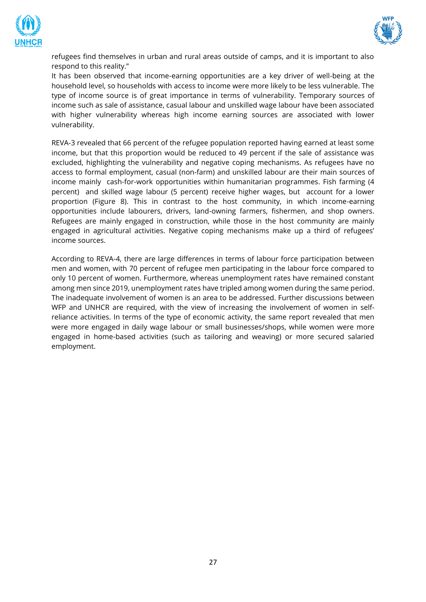



refugees find themselves in urban and rural areas outside of camps, and it is important to also respond to this reality."

It has been observed that income-earning opportunities are a key driver of well-being at the household level, so households with access to income were more likely to be less vulnerable. The type of income source is of great importance in terms of vulnerability. Temporary sources of income such as sale of assistance, casual labour and unskilled wage labour have been associated with higher vulnerability whereas high income earning sources are associated with lower vulnerability.

REVA-3 revealed that 66 percent of the refugee population reported having earned at least some income, but that this proportion would be reduced to 49 percent if the sale of assistance was excluded, highlighting the vulnerability and negative coping mechanisms. As refugees have no access to formal employment, casual (non-farm) and unskilled labour are their main sources of income mainly cash-for-work opportunities within humanitarian programmes. Fish farming (4 percent) and skilled wage labour (5 percent) receive higher wages, but account for a lower proportion (Figure 8). This in contrast to the host community, in which income-earning opportunities include labourers, drivers, land-owning farmers, fishermen, and shop owners. Refugees are mainly engaged in construction, while those in the host community are mainly engaged in agricultural activities. Negative coping mechanisms make up a third of refugees' income sources.

According to REVA-4, there are large differences in terms of labour force participation between men and women, with 70 percent of refugee men participating in the labour force compared to only 10 percent of women. Furthermore, whereas unemployment rates have remained constant among men since 2019, unemployment rates have tripled among women during the same period. The inadequate involvement of women is an area to be addressed. Further discussions between WFP and UNHCR are required, with the view of increasing the involvement of women in selfreliance activities. In terms of the type of economic activity, the same report revealed that men were more engaged in daily wage labour or small businesses/shops, while women were more engaged in home-based activities (such as tailoring and weaving) or more secured salaried employment.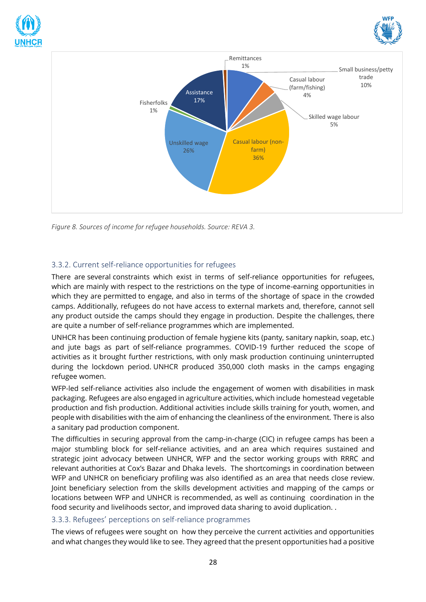





<span id="page-27-2"></span>*Figure 8. Sources of income for refugee households. Source: REVA 3.* 

# <span id="page-27-0"></span>3.3.2. Current self-reliance opportunities for refugees

There are several constraints which exist in terms of self-reliance opportunities for refugees, which are mainly with respect to the restrictions on the type of income-earning opportunities in which they are permitted to engage, and also in terms of the shortage of space in the crowded camps. Additionally, refugees do not have access to external markets and, therefore, cannot sell any product outside the camps should they engage in production. Despite the challenges, there are quite a number of self-reliance programmes which are implemented.

UNHCR has been continuing production of female hygiene kits (panty, sanitary napkin, soap, etc.) and jute bags as part of self-reliance programmes. COVID-19 further reduced the scope of activities as it brought further restrictions, with only mask production continuing uninterrupted during the lockdown period. UNHCR produced 350,000 cloth masks in the camps engaging refugee women.

WFP-led self-reliance activities also include the engagement of women with disabilities in mask packaging. Refugees are also engaged in agriculture activities, which include homestead vegetable production and fish production. Additional activities include skills training for youth, women, and people with disabilities with the aim of enhancing the cleanliness of the environment. There is also a sanitary pad production component.

The difficulties in securing approval from the camp-in-charge (CIC) in refugee camps has been a major stumbling block for self-reliance activities, and an area which requires sustained and strategic joint advocacy between UNHCR, WFP and the sector working groups with RRRC and relevant authorities at Cox's Bazar and Dhaka levels. The shortcomings in coordination between WFP and UNHCR on beneficiary profiling was also identified as an area that needs close review. Joint beneficiary selection from the skills development activities and mapping of the camps or locations between WFP and UNHCR is recommended, as well as continuing coordination in the food security and livelihoods sector, and improved data sharing to avoid duplication. .

#### <span id="page-27-1"></span>3.3.3. Refugees' perceptions on self-reliance programmes

The views of refugees were sought on how they perceive the current activities and opportunities and what changes they would like to see. They agreed that the present opportunities had a positive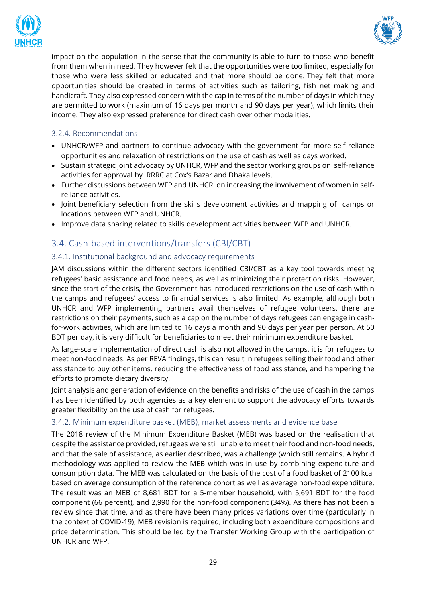



impact on the population in the sense that the community is able to turn to those who benefit from them when in need. They however felt that the opportunities were too limited, especially for those who were less skilled or educated and that more should be done. They felt that more opportunities should be created in terms of activities such as tailoring, fish net making and handicraft. They also expressed concern with the cap in terms of the number of days in which they are permitted to work (maximum of 16 days per month and 90 days per year), which limits their income. They also expressed preference for direct cash over other modalities.

# <span id="page-28-0"></span>3.2.4. Recommendations

- UNHCR/WFP and partners to continue advocacy with the government for more self-reliance opportunities and relaxation of restrictions on the use of cash as well as days worked.
- Sustain strategic joint advocacy by UNHCR, WFP and the sector working groups on self-reliance activities for approval by RRRC at Cox's Bazar and Dhaka levels.
- Further discussions between WFP and UNHCR on increasing the involvement of women in selfreliance activities.
- Joint beneficiary selection from the skills development activities and mapping of camps or locations between WFP and UNHCR.
- Improve data sharing related to skills development activities between WFP and UNHCR.

# <span id="page-28-1"></span>3.4. Cash-based interventions/transfers (CBI/CBT)

#### <span id="page-28-2"></span>3.4.1. Institutional background and advocacy requirements

JAM discussions within the different sectors identified CBI/CBT as a key tool towards meeting refugees' basic assistance and food needs, as well as minimizing their protection risks. However, since the start of the crisis, the Government has introduced restrictions on the use of cash within the camps and refugees' access to financial services is also limited. As example, although both UNHCR and WFP implementing partners avail themselves of refugee volunteers, there are restrictions on their payments, such as a cap on the number of days refugees can engage in cashfor-work activities, which are limited to 16 days a month and 90 days per year per person. At 50 BDT per day, it is very difficult for beneficiaries to meet their minimum expenditure basket.

As large-scale implementation of direct cash is also not allowed in the camps, it is for refugees to meet non-food needs. As per REVA findings, this can result in refugees selling their food and other assistance to buy other items, reducing the effectiveness of food assistance, and hampering the efforts to promote dietary diversity.

Joint analysis and generation of evidence on the benefits and risks of the use of cash in the camps has been identified by both agencies as a key element to support the advocacy efforts towards greater flexibility on the use of cash for refugees.

#### <span id="page-28-3"></span>3.4.2. Minimum expenditure basket (MEB), market assessments and evidence base

The 2018 review of the Minimum Expenditure Basket (MEB) was based on the realisation that despite the assistance provided, refugees were still unable to meet their food and non-food needs, and that the sale of assistance, as earlier described, was a challenge (which still remains. A hybrid methodology was applied to review the MEB which was in use by combining expenditure and consumption data. The MEB was calculated on the basis of the cost of a food basket of 2100 kcal based on average consumption of the reference cohort as well as average non-food expenditure. The result was an MEB of 8,681 BDT for a 5-member household, with 5,691 BDT for the food component (66 percent), and 2,990 for the non-food component (34%). As there has not been a review since that time, and as there have been many prices variations over time (particularly in the context of COVID-19), MEB revision is required, including both expenditure compositions and price determination. This should be led by the Transfer Working Group with the participation of UNHCR and WFP.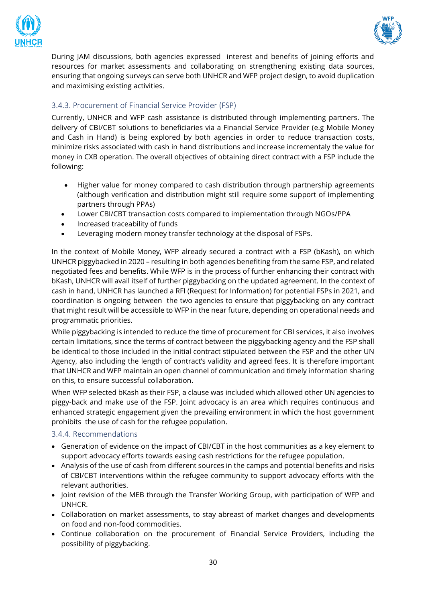



During JAM discussions, both agencies expressed interest and benefits of joining efforts and resources for market assessments and collaborating on strengthening existing data sources, ensuring that ongoing surveys can serve both UNHCR and WFP project design, to avoid duplication and maximising existing activities.

# <span id="page-29-0"></span>3.4.3. Procurement of Financial Service Provider (FSP)

Currently, UNHCR and WFP cash assistance is distributed through implementing partners. The delivery of CBI/CBT solutions to beneficiaries via a Financial Service Provider (e.g Mobile Money and Cash in Hand) is being explored by both agencies in order to reduce transaction costs, minimize risks associated with cash in hand distributions and increase incrementaly the value for money in CXB operation. The overall objectives of obtaining direct contract with a FSP include the following:

- Higher value for money compared to cash distribution through partnership agreements (although verification and distribution might still require some support of implementing partners through PPAs)
- Lower CBI/CBT transaction costs compared to implementation through NGOs/PPA
- Increased traceability of funds
- Leveraging modern money transfer technology at the disposal of FSPs.

In the context of Mobile Money, WFP already secured a contract with a FSP (bKash), on which UNHCR piggybacked in 2020 – resulting in both agencies benefiting from the same FSP, and related negotiated fees and benefits. While WFP is in the process of further enhancing their contract with bKash, UNHCR will avail itself of further piggybacking on the updated agreement. In the context of cash in hand, UNHCR has launched a RFI (Request for Information) for potential FSPs in 2021, and coordination is ongoing between the two agencies to ensure that piggybacking on any contract that might result will be accessible to WFP in the near future, depending on operational needs and programmatic priorities.

While piggybacking is intended to reduce the time of procurement for CBI services, it also involves certain limitations, since the terms of contract between the piggybacking agency and the FSP shall be identical to those included in the initial contract stipulated between the FSP and the other UN Agency, also including the length of contract's validity and agreed fees. It is therefore important that UNHCR and WFP maintain an open channel of communication and timely information sharing on this, to ensure successful collaboration.

When WFP selected bKash as their FSP, a clause was included which allowed other UN agencies to piggy-back and make use of the FSP. Joint advocacy is an area which requires continuous and enhanced strategic engagement given the prevailing environment in which the host government prohibits the use of cash for the refugee population.

#### <span id="page-29-1"></span>3.4.4. Recommendations

- Generation of evidence on the impact of CBI/CBT in the host communities as a key element to support advocacy efforts towards easing cash restrictions for the refugee population.
- Analysis of the use of cash from different sources in the camps and potential benefits and risks of CBI/CBT interventions within the refugee community to support advocacy efforts with the relevant authorities.
- Joint revision of the MEB through the Transfer Working Group, with participation of WFP and UNHCR.
- Collaboration on market assessments, to stay abreast of market changes and developments on food and non-food commodities.
- Continue collaboration on the procurement of Financial Service Providers, including the possibility of piggybacking.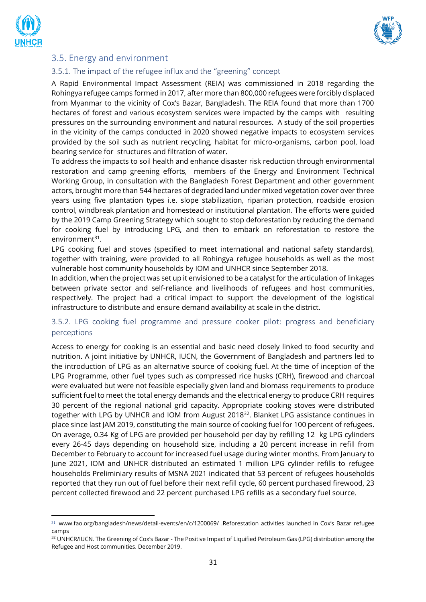



# <span id="page-30-0"></span>3.5. Energy and environment

#### <span id="page-30-1"></span>3.5.1. The impact of the refugee influx and the "greening" concept

A Rapid Environmental Impact Assessment (REIA) was commissioned in 2018 regarding the Rohingya refugee camps formed in 2017, after more than 800,000 refugees were forcibly displaced from Myanmar to the vicinity of Cox's Bazar, Bangladesh. The REIA found that more than 1700 hectares of forest and various ecosystem services were impacted by the camps with resulting pressures on the surrounding environment and natural resources. A study of the soil properties in the vicinity of the camps conducted in 2020 showed negative impacts to ecosystem services provided by the soil such as nutrient recycling, habitat for micro-organisms, carbon pool, load bearing service for structures and filtration of water.

To address the impacts to soil health and enhance disaster risk reduction through environmental restoration and camp greening efforts, members of the Energy and Environment Technical Working Group, in consultation with the Bangladesh Forest Department and other government actors, brought more than 544 hectares of degraded land under mixed vegetation cover over three years using five plantation types i.e. slope stabilization, riparian protection, roadside erosion control, windbreak plantation and homestead or institutional plantation. The efforts were guided by the 2019 Camp Greening Strategy which sought to stop deforestation by reducing the demand for cooking fuel by introducing LPG, and then to embark on reforestation to restore the environment<sup>31</sup>.

LPG cooking fuel and stoves (specified to meet international and national safety standards), together with training, were provided to all Rohingya refugee households as well as the most vulnerable host community households by IOM and UNHCR since September 2018.

In addition, when the project was set up it envisioned to be a catalyst for the articulation of linkages between private sector and self-reliance and livelihoods of refugees and host communities, respectively. The project had a critical impact to support the development of the logistical infrastructure to distribute and ensure demand availability at scale in the district.

# <span id="page-30-2"></span>3.5.2. LPG cooking fuel programme and pressure cooker pilot: progress and beneficiary perceptions

Access to energy for cooking is an essential and basic need closely linked to food security and nutrition. A joint initiative by UNHCR, IUCN, the Government of Bangladesh and partners led to the introduction of LPG as an alternative source of cooking fuel. At the time of inception of the LPG Programme, other fuel types such as compressed rice husks (CRH), firewood and charcoal were evaluated but were not feasible especially given land and biomass requirements to produce sufficient fuel to meet the total energy demands and the electrical energy to produce CRH requires 30 percent of the regional national grid capacity. Appropriate cooking stoves were distributed together with LPG by UNHCR and IOM from August 2018<sup>32</sup>. Blanket LPG assistance continues in place since last JAM 2019, constituting the main source of cooking fuel for 100 percent of refugees. On average, 0.34 Kg of LPG are provided per household per day by refilling 12 kg LPG cylinders every 26-45 days depending on household size, including a 20 percent increase in refill from December to February to account for increased fuel usage during winter months. From January to June 2021, IOM and UNHCR distributed an estimated 1 million LPG cylinder refills to refugee households Preliminiary results of MSNA 2021 indicated that 53 percent of refugees households reported that they run out of fuel before their next refill cycle, 60 percent purchased firewood, 23 percent collected firewood and 22 percent purchased LPG refills as a secondary fuel source.

<sup>31</sup> [www.fao.org/bangladesh/news/detail-events/en/c/1200069/](http://www.fao.org/bangladesh/news/detail-events/en/c/1200069/) .Reforestation activities launched in Cox's Bazar refugee camps

<sup>&</sup>lt;sup>32</sup> UNHCR/IUCN. The Greening of Cox's Bazar - The Positive Impact of Liquified Petroleum Gas (LPG) distribution among the Refugee and Host communities. December 2019.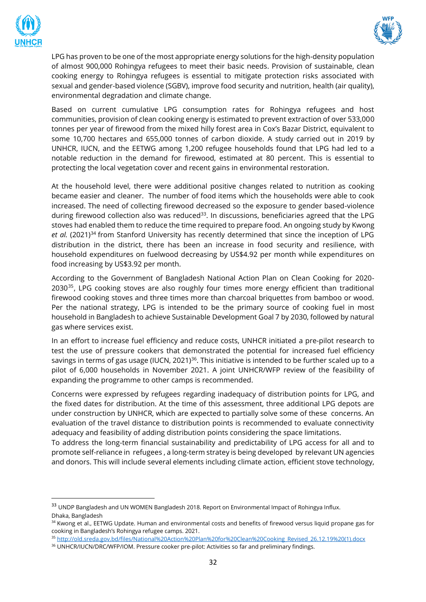



LPG has proven to be one of the most appropriate energy solutions for the high-density population of almost 900,000 Rohingya refugees to meet their basic needs. Provision of sustainable, clean cooking energy to Rohingya refugees is essential to mitigate protection risks associated with sexual and gender-based violence (SGBV), improve food security and nutrition, health (air quality), environmental degradation and climate change.

Based on current cumulative LPG consumption rates for Rohingya refugees and host communities, provision of clean cooking energy is estimated to prevent extraction of over 533,000 tonnes per year of firewood from the mixed hilly forest area in Cox's Bazar District, equivalent to some 10,700 hectares and 655,000 tonnes of carbon dioxide. A study carried out in 2019 by UNHCR, IUCN, and the EETWG among 1,200 refugee households found that LPG had led to a notable reduction in the demand for firewood, estimated at 80 percent. This is essential to protecting the local vegetation cover and recent gains in environmental restoration.

At the household level, there were additional positive changes related to nutrition as cooking became easier and cleaner. The number of food items which the households were able to cook increased. The need of collecting firewood decreased so the exposure to gender based-violence during firewood collection also was reduced<sup>33</sup>. In discussions, beneficiaries agreed that the LPG stoves had enabled them to reduce the time required to prepare food. An ongoing study by Kwong *et al.* (2021)<sup>34</sup> from Stanford University has recently determined that since the inception of LPG distribution in the district, there has been an increase in food security and resilience, with household expenditures on fuelwood decreasing by US\$4.92 per month while expenditures on food increasing by US\$3.92 per month.

According to the Government of Bangladesh National Action Plan on Clean Cooking for 2020- 2030<sup>35</sup>, LPG cooking stoves are also roughly four times more energy efficient than traditional firewood cooking stoves and three times more than charcoal briquettes from bamboo or wood. Per the national strategy, LPG is intended to be the primary source of cooking fuel in most household in Bangladesh to achieve Sustainable Development Goal 7 by 2030, followed by natural gas where services exist.

In an effort to increase fuel efficiency and reduce costs, UNHCR initiated a pre-pilot research to test the use of pressure cookers that demonstrated the potential for increased fuel efficiency savings in terms of gas usage (IUCN, 2021)<sup>36</sup>. This initiative is intended to be further scaled up to a pilot of 6,000 households in November 2021. A joint UNHCR/WFP review of the feasibility of expanding the programme to other camps is recommended.

Concerns were expressed by refugees regarding inadequacy of distribution points for LPG, and the fixed dates for distribution. At the time of this assessment, three additional LPG depots are under construction by UNHCR, which are expected to partially solve some of these concerns. An evaluation of the travel distance to distribution points is recommended to evaluate connectivity adequacy and feasibility of adding distribution points considering the space limitations.

To address the long-term financial sustainability and predictability of LPG access for all and to promote self-reliance in refugees , a long-term stratey is being developed by relevant UN agencies and donors. This will include several elements including climate action, efficient stove technology,

<sup>&</sup>lt;sup>33</sup> UNDP Bangladesh and UN WOMEN Bangladesh 2018. Report on Environmental Impact of Rohingya Influx. Dhaka, Bangladesh

<sup>&</sup>lt;sup>34</sup> Kwong et al., EETWG Update. Human and environmental costs and benefits of firewood versus liquid propane gas for cooking in Bangladesh's Rohingya refugee camps. 2021.

<sup>35</sup> [http://old.sreda.gov.bd/files/National%20Action%20Plan%20for%20Clean%20Cooking\\_Revised\\_26.12.19%20\(1\).docx](http://old.sreda.gov.bd/files/National%20Action%20Plan%20for%20Clean%20Cooking_Revised_26.12.19%20(1).docx)

<sup>&</sup>lt;sup>36</sup> UNHCR/IUCN/DRC/WFP/IOM. Pressure cooker pre-pilot: Activities so far and preliminary findings.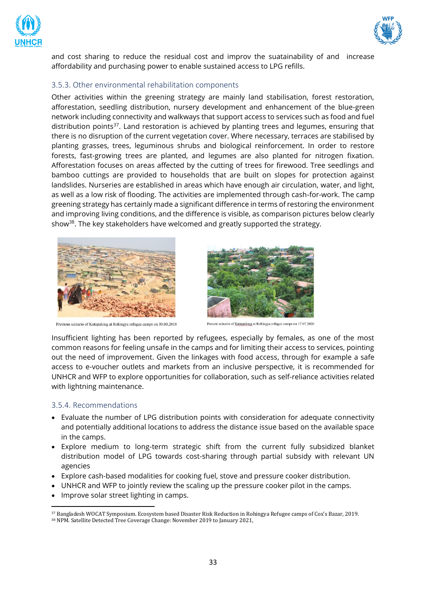



and cost sharing to reduce the residual cost and improv the suatainability of and increase affordability and purchasing power to enable sustained access to LPG refills.

#### <span id="page-32-0"></span>3.5.3. Other environmental rehabilitation components

Other activities within the greening strategy are mainly land stabilisation, forest restoration, afforestation, seedling distribution, nursery development and enhancement of the blue-green network including connectivity and walkways that support access to services such as food and fuel distribution points<sup>37</sup>. Land restoration is achieved by planting trees and legumes, ensuring that there is no disruption of the current vegetation cover. Where necessary, terraces are stabilised by planting grasses, trees, leguminous shrubs and biological reinforcement. In order to restore forests, fast-growing trees are planted, and legumes are also planted for nitrogen fixation. Afforestation focuses on areas affected by the cutting of trees for firewood. Tree seedlings and bamboo cuttings are provided to households that are built on slopes for protection against landslides. Nurseries are established in areas which have enough air circulation, water, and light, as well as a low risk of flooding. The activities are implemented through cash-for-work. The camp greening strategy has certainly made a significant difference in terms of restoring the environment and improving living conditions, and the difference is visible, as comparison pictures below clearly show<sup>38</sup>. The key stakeholders have welcomed and greatly supported the strategy.



Previous scinario of Kutupalong at Rohingya refugee camps on 30.03.2018



Present scinario of Kutupalong at Rohingya refugee camps on 17.07.2020

Insufficient lighting has been reported by refugees, especially by females, as one of the most common reasons for feeling unsafe in the camps and for limiting their access to services, pointing out the need of improvement. Given the linkages with food access, through for example a safe access to e-voucher outlets and markets from an inclusive perspective, it is recommended for UNHCR and WFP to explore opportunities for collaboration, such as self-reliance activities related with lightning maintenance.

#### <span id="page-32-1"></span>3.5.4. Recommendations

- Evaluate the number of LPG distribution points with consideration for adequate connectivity and potentially additional locations to address the distance issue based on the available space in the camps.
- Explore medium to long-term strategic shift from the current fully subsidized blanket distribution model of LPG towards cost-sharing through partial subsidy with relevant UN agencies
- Explore cash-based modalities for cooking fuel, stove and pressure cooker distribution.
- UNHCR and WFP to jointly review the scaling up the pressure cooker pilot in the camps.
- Improve solar street lighting in camps.

<sup>37</sup> Bangladesh WOCAT Symposium. Ecosystem based Disaster Risk Reduction in Rohingya Refugee camps of Cox's Bazar, 2019.

<sup>38</sup> NPM. [Satellite Detected Tree Coverage Change: November 2019 to January 2021,](https://ago-item-storage.s3.us-east-1.amazonaws.com/0a995a9b0e0f4c288a2314f44a507152/Regrowth_2021_ind.pdf?X-Amz-Security-Token=IQoJb3JpZ2luX2VjEB4aCXVzLWVhc3QtMSJGMEQCIEkCcW5s9fx3Zm3t7dOY5yfg4gbwJ%2BfdSypFNGEZ7JjlAiAFf%2F0MoK2Dxby6wz6a7aRXkzCS3M3%2BzIbkfRAegRBEciqDBAjn%2F%2F%2F%2F%2F%2F%2F%2F%2F%2F8BEAAaDDYwNDc1ODEwMjY2NSIM4qaPbIjvwBbpRFEYKtcDx00y6SXrmvIdskM6WkDztDXQDLUzbpt%2BRJA6Z6AHzEJtXJpF7vfSu1jgp%2BEMrx2ovveuVbJyRQw5q4MtNUQgMZzu2WS0t46gKyFC4HmXx%2BBuPrM7MoTM%2Fp2sPPCCK2%2B%2B%2BGItREqJpZ5m3mWGSjhEOdjxd%2FRqli2GJzu7SeJfzNKSqFfxzltzG8yuwXeqI9acxK55WCzrsFkg%2FJXMKgytak9843vzoWZkEaI9Cj4jI9S%2F0lBGNS8qGfduqhoMeUPBZYN0W7ZoMAb0mblwBJN5FkbX67p2mwCE2Ug3AAHWcK4X%2Bn11bMbyrPSwtBQIi35Es2nLjAvj0f2zKqBdfVK%2BW9rEcTDkQby%2BLpYNWrRcMdF6qGvjQJQf7RWvTf%2BdLVxVH3eUdp%2Bs0iwjj6ydcnNeYDtiVmsjaZd7FzBFn8FcPpn8PFPaCkmsRD9W0g2sAKqhYLp5D9vpwkoY9FZ0rrgcMG%2FokIWjbMvp0waum08vJ0X5G%2Fa978jZHeCB8302SFYVWFmZW%2B%2BztAxX4iqsNDdPq%2FjrmdlnfyXhoigowAd6H1wEdx2iNAXfQNpoXar38ex7nZtlsJdwa4YxeYrLGbTLhAuIXp%2FYtZpvLUcHtj1mHfiwj5R%2FoKOYMJWSy4YGOqYBmYUcpnSRRk0KqPWEsRC3VBN15IawgzcOY1ZQ7DKi6oPlQS0wrnMfNJ75ekc4a4XSKYmv4YIAXXIBf7rN5ZN4CnyNwxiaPpGfYs8Xod0jVodCyRI03F49jgkUrterFDeKAIudZp8szHw6V0%2FLCHK1s%2BLO274Yqq7lje4C6xdqaGCgslWgU1CvxeywguoUri7pi2dSe9Mh3yJSqC0JbvFj362PBdMssg%3D%3D&X-Amz-Algorithm=AWS4-HMAC-SHA256&X-Amz-Date=20210623T065741Z&X-Amz-SignedHeaders=host&X-Amz-Expires=300&X-Amz-Credential=ASIAYZTTEKKEU56QPJ2R%2F20210623%2Fus-east-1%2Fs3%2Faws4_request&X-Amz-Signature=646388193dbcde3a00127bd2b58b583e82f0e3a1ee3775f40bdd58863cde0785)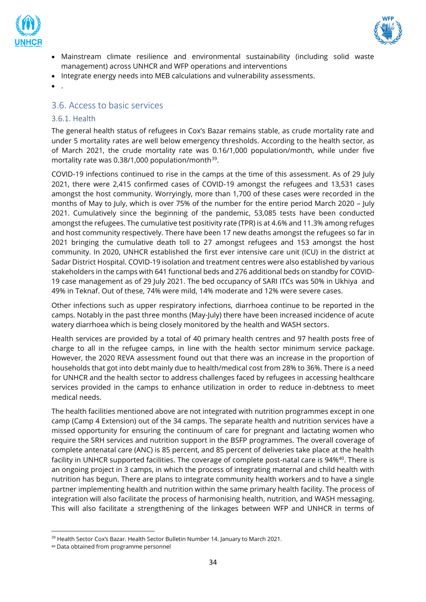



- Mainstream climate resilience and environmental sustainability (including solid waste management) across UNHCR and WFP operations and interventions
- Integrate energy needs into MEB calculations and vulnerability assessments.
- .

# <span id="page-33-0"></span>3.6. Access to basic services

#### <span id="page-33-1"></span>3.6.1. Health

The general health status of refugees in Cox's Bazar remains stable, as crude mortality rate and under 5 mortality rates are well below emergency thresholds. According to the health sector, as of March 2021, the crude mortality rate was 0.16/1,000 population/month, while under five mortality rate was  $0.38/1,000$  population/month<sup>39</sup>.

COVID-19 infections continued to rise in the camps at the time of this assessment. As of 29 July 2021, there were 2,415 confirmed cases of COVID-19 amongst the refugees and 13,531 cases amongst the host community. Worryingly, more than 1,700 of these cases were recorded in the months of May to July, which is over 75% of the number for the entire period March 2020 – July 2021. Cumulatively since the beginning of the pandemic, 53,085 tests have been conducted amongst the refugees. The cumulative test positivity rate (TPR) is at 4.6% and 11.3% among refuges and host community respectively. There have been 17 new deaths amongst the refugees so far in 2021 bringing the cumulative death toll to 27 amongst refugees and 153 amongst the host community. In 2020, UNHCR established the first ever intensive care unit (ICU) in the district at Sadar District Hospital. COVID-19 isolation and treatment centres were also established by various stakeholders in the camps with 641 functional beds and 276 additional beds on standby for COVID-19 case management as of 29 July 2021. The bed occupancy of SARI ITCs was 50% in Ukhiya and 49% in Teknaf. Out of these, 74% were mild, 14% moderate and 12% were severe cases.

Other infections such as upper respiratory infections, diarrhoea continue to be reported in the camps. Notably in the past three months (May-July) there have been increased incidence of acute watery diarrhoea which is being closely monitored by the health and WASH sectors.

Health services are provided by a total of 40 primary health centres and 97 health posts free of charge to all in the refugee camps, in line with the health sector minimum service package. However, the 2020 REVA assessment found out that there was an increase in the proportion of households that got into debt mainly due to health/medical cost from 28% to 36%. There is a need for UNHCR and the health sector to address challenges faced by refugees in accessing healthcare services provided in the camps to enhance utilization in order to reduce in-debtness to meet medical needs.

The health facilities mentioned above are not integrated with nutrition programmes except in one camp (Camp 4 Extension) out of the 34 camps. The separate health and nutrition services have a missed opportunity for ensuring the continuum of care for pregnant and lactating women who require the SRH services and nutrition support in the BSFP programmes. The overall coverage of complete antenatal care (ANC) is 85 percent, and 85 percent of deliveries take place at the health facility in UNHCR supported facilities. The coverage of complete post-natal care is 94%<sup>40</sup>. There is an ongoing project in 3 camps, in which the process of integrating maternal and child health with nutrition has begun. There are plans to integrate community health workers and to have a single partner implementing health and nutrition within the same primary health facility. The process of integration will also facilitate the process of harmonising health, nutrition, and WASH messaging. This will also facilitate a strengthening of the linkages between WFP and UNHCR in terms of

<sup>&</sup>lt;sup>39</sup> Health Sector Cox's Bazar. Health Sector Bulletin Number 14. January to March 2021.

<sup>40</sup> Data obtained from programme personnel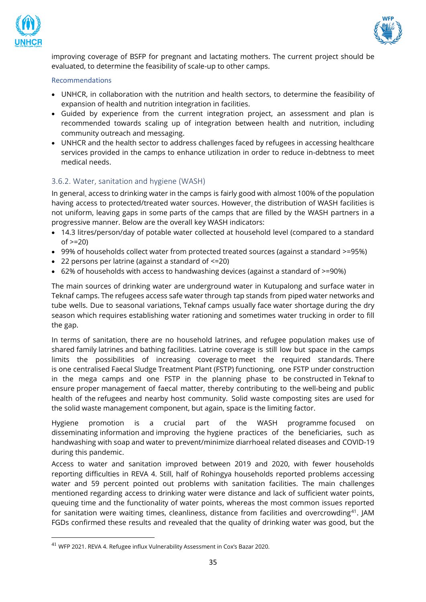



improving coverage of BSFP for pregnant and lactating mothers. The current project should be evaluated, to determine the feasibility of scale-up to other camps.

#### Recommendations

- UNHCR, in collaboration with the nutrition and health sectors, to determine the feasibility of expansion of health and nutrition integration in facilities.
- Guided by experience from the current integration project, an assessment and plan is recommended towards scaling up of integration between health and nutrition, including community outreach and messaging.
- UNHCR and the health sector to address challenges faced by refugees in accessing healthcare services provided in the camps to enhance utilization in order to reduce in-debtness to meet medical needs.

# <span id="page-34-0"></span>3.6.2. Water, sanitation and hygiene (WASH)

In general, access to drinking water in the camps is fairly good with almost 100% of the population having access to protected/treated water sources. However, the distribution of WASH facilities is not uniform, leaving gaps in some parts of the camps that are filled by the WASH partners in a progressive manner. Below are the overall key WASH indicators:

- 14.3 litres/person/day of potable water collected at household level (compared to a standard  $of  $> = 20$$
- 99% of households collect water from protected treated sources (against a standard >=95%)
- 22 persons per latrine (against a standard of <=20)
- 62% of households with access to handwashing devices (against a standard of >=90%)

The main sources of drinking water are underground water in Kutupalong and surface water in Teknaf camps. The refugees access safe water through tap stands from piped water networks and tube wells. Due to seasonal variations, Teknaf camps usually face water shortage during the dry season which requires establishing water rationing and sometimes water trucking in order to fill the gap.

In terms of sanitation, there are no household latrines, and refugee population makes use of shared family latrines and bathing facilities. Latrine coverage is still low but space in the camps limits the possibilities of increasing coverage to meet the required standards. There is one centralised Faecal Sludge Treatment Plant (FSTP) functioning, one FSTP under construction in the mega camps and one FSTP in the planning phase to be constructed in Teknaf to ensure proper management of faecal matter, thereby contributing to the well-being and public health of the refugees and nearby host community. Solid waste composting sites are used for the solid waste management component, but again, space is the limiting factor.

Hygiene promotion is a crucial part of the WASH programme focused on disseminating information and improving the hygiene practices of the beneficiaries, such as handwashing with soap and water to prevent/minimize diarrhoeal related diseases and COVID-19 during this pandemic.

Access to water and sanitation improved between 2019 and 2020, with fewer households reporting difficulties in REVA 4. Still, half of Rohingya households reported problems accessing water and 59 percent pointed out problems with sanitation facilities. The main challenges mentioned regarding access to drinking water were distance and lack of sufficient water points, queuing time and the functionality of water points, whereas the most common issues reported for sanitation were waiting times, cleanliness, distance from facilities and overcrowding<sup>41</sup>. JAM FGDs confirmed these results and revealed that the quality of drinking water was good, but the

<sup>41</sup> WFP 2021. REVA 4. Refugee influx Vulnerability Assessment in Cox's Bazar 2020.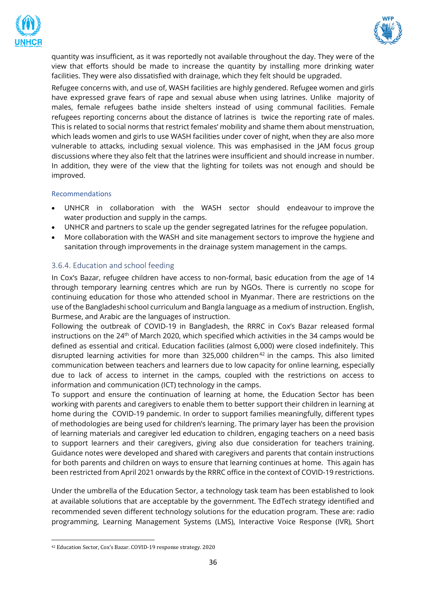



quantity was insufficient, as it was reportedly not available throughout the day. They were of the view that efforts should be made to increase the quantity by installing more drinking water facilities. They were also dissatisfied with drainage, which they felt should be upgraded.

Refugee concerns with, and use of, WASH facilities are highly gendered. Refugee women and girls have expressed grave fears of rape and sexual abuse when using latrines. Unlike majority of males, female refugees bathe inside shelters instead of using communal facilities. Female refugees reporting concerns about the distance of latrines is twice the reporting rate of males. This is related to social norms that restrict females' mobility and shame them about menstruation, which leads women and girls to use WASH facilities under cover of night, when they are also more vulnerable to attacks, including sexual violence. This was emphasised in the JAM focus group discussions where they also felt that the latrines were insufficient and should increase in number. In addition, they were of the view that the lighting for toilets was not enough and should be improved.

#### Recommendations

- UNHCR in collaboration with the WASH sector should endeavour to improve the water production and supply in the camps.
- UNHCR and partners to scale up the gender segregated latrines for the refugee population.
- More collaboration with the WASH and site management sectors to improve the hygiene and sanitation through improvements in the drainage system management in the camps.

#### <span id="page-35-0"></span>3.6.4. Education and school feeding

In Cox's Bazar, refugee children have access to non-formal, basic education from the age of 14 through temporary learning centres which are run by NGOs. There is currently no scope for continuing education for those who attended school in Myanmar. There are restrictions on the use of the Bangladeshi school curriculum and Bangla language as a medium of instruction. English, Burmese, and Arabic are the languages of instruction.

Following the outbreak of COVID-19 in Bangladesh, the RRRC in Cox's Bazar released formal instructions on the 24<sup>th</sup> of March 2020, which specified which activities in the 34 camps would be defined as essential and critical. Education facilities (almost 6,000) were closed indefinitely. This disrupted learning activities for more than 325,000 children<sup>42</sup> in the camps. This also limited communication between teachers and learners due to low capacity for online learning, especially due to lack of access to internet in the camps, coupled with the restrictions on access to information and communication (ICT) technology in the camps.

To support and ensure the continuation of learning at home, the Education Sector has been working with parents and caregivers to enable them to better support their children in learning at home during the COVID-19 pandemic. In order to support families meaningfully, different types of methodologies are being used for children's learning. The primary layer has been the provision of learning materials and caregiver led education to children, engaging teachers on a need basis to support learners and their caregivers, giving also due consideration for teachers training. Guidance notes were developed and shared with caregivers and parents that contain instructions for both parents and children on ways to ensure that learning continues at home. This again has been restricted from April 2021 onwards by the RRRC office in the context of COVID-19 restrictions.

Under the umbrella of the Education Sector, a technology task team has been established to look at available solutions that are acceptable by the government. The EdTech strategy identified and recommended seven different technology solutions for the education program. These are: radio programming, Learning Management Systems (LMS), Interactive Voice Response (IVR), Short

<sup>42</sup> Education Sector, Cox's Bazar. COVID-19 response strategy. 2020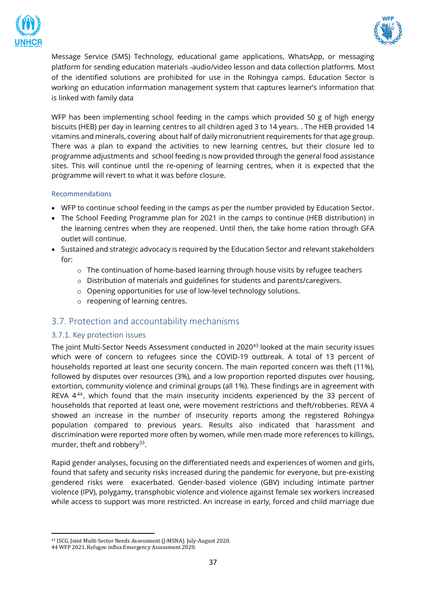



Message Service (SMS) Technology, educational game applications, WhatsApp, or messaging platform for sending education materials -audio/video lesson and data collection platforms. Most of the identified solutions are prohibited for use in the Rohingya camps. Education Sector is working on education information management system that captures learner's information that is linked with family data

WFP has been implementing school feeding in the camps which provided 50 g of high energy biscuits (HEB) per day in learning centres to all children aged 3 to 14 years. . The HEB provided 14 vitamins and minerals, covering about half of daily micronutrient requirements for that age group. There was a plan to expand the activities to new learning centres, but their closure led to programme adjustments and school feeding is now provided through the general food assistance sites. This will continue until the re-opening of learning centres, when it is expected that the programme will revert to what it was before closure.

#### Recommendations

- WFP to continue school feeding in the camps as per the number provided by Education Sector.
- The School Feeding Programme plan for 2021 in the camps to continue (HEB distribution) in the learning centres when they are reopened. Until then, the take home ration through GFA outlet will continue.
- Sustained and strategic advocacy is required by the Education Sector and relevant stakeholders for:
	- $\circ$  The continuation of home-based learning through house visits by refugee teachers
	- o Distribution of materials and guidelines for students and parents/caregivers.
	- o Opening opportunities for use of low-level technology solutions.
	- o reopening of learning centres.

# <span id="page-36-0"></span>3.7. Protection and accountability mechanisms

#### <span id="page-36-1"></span>3.7.1. Key protection issues

The joint Multi-Sector Needs Assessment conducted in 2020<sup>43</sup> looked at the main security issues which were of concern to refugees since the COVID-19 outbreak. A total of 13 percent of households reported at least one security concern. The main reported concern was theft (11%), followed by disputes over resources (3%), and a low proportion reported disputes over housing, extortion, community violence and criminal groups (all 1%). These findings are in agreement with REVA 4<sup>44</sup>, which found that the main insecurity incidents experienced by the 33 percent of households that reported at least one, were movement restrictions and theft/robberies. REVA 4 showed an increase in the number of insecurity reports among the registered Rohingya population compared to previous years. Results also indicated that harassment and discrimination were reported more often by women, while men made more references to killings, murder, theft and robbery<sup>33</sup>.

Rapid gender analyses, focusing on the differentiated needs and experiences of women and girls, found that safety and security risks increased during the pandemic for everyone, but pre-existing gendered risks were exacerbated. Gender-based violence (GBV) including intimate partner violence (IPV), polygamy, transphobic violence and violence against female sex workers increased while access to support was more restricted. An increase in early, forced and child marriage due

<sup>43</sup> ISCG. Joint Multi-Sector Needs Assessment (J-MSNA). July-August 2020.

<sup>44</sup> WFP 2021. Refugee influx Emergency Assessment 2020.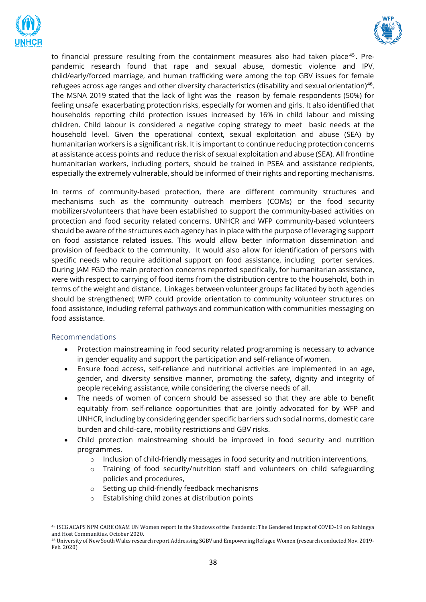



to financial pressure resulting from the containment measures also had taken place $45$ . Prepandemic research found that rape and sexual abuse, domestic violence and IPV, child/early/forced marriage, and human trafficking were among the top GBV issues for female refugees across age ranges and other diversity characteristics (disability and sexual orientation)<sup>46</sup>. The MSNA 2019 stated that the lack of light was the reason by female respondents (50%) for feeling unsafe exacerbating protection risks, especially for women and girls. It also identified that households reporting child protection issues increased by 16% in child labour and missing children. Child labour is considered a negative coping strategy to meet basic needs at the household level. Given the operational context, sexual exploitation and abuse (SEA) by humanitarian workers is a significant risk. It is important to continue reducing protection concerns at assistance access points and reduce the risk of sexual exploitation and abuse (SEA). All frontline humanitarian workers, including porters, should be trained in PSEA and assistance recipients, especially the extremely vulnerable, should be informed of their rights and reporting mechanisms.

In terms of community-based protection, there are different community structures and mechanisms such as the community outreach members (COMs) or the food security mobilizers/volunteers that have been established to support the community-based activities on protection and food security related concerns. UNHCR and WFP community-based volunteers should be aware of the structures each agency has in place with the purpose of leveraging support on food assistance related issues. This would allow better information dissemination and provision of feedback to the community. It would also allow for identification of persons with specific needs who require additional support on food assistance, including porter services. During JAM FGD the main protection concerns reported specifically, for humanitarian assistance, were with respect to carrying of food items from the distribution centre to the household, both in terms of the weight and distance. Linkages between volunteer groups facilitated by both agencies should be strengthened; WFP could provide orientation to community volunteer structures on food assistance, including referral pathways and communication with communities messaging on food assistance.

#### Recommendations

- Protection mainstreaming in food security related programming is necessary to advance in gender equality and support the participation and self-reliance of women.
- Ensure food access, self-reliance and nutritional activities are implemented in an age, gender, and diversity sensitive manner, promoting the safety, dignity and integrity of people receiving assistance, while considering the diverse needs of all.
- The needs of women of concern should be assessed so that they are able to benefit equitably from self-reliance opportunities that are jointly advocated for by WFP and UNHCR, including by considering gender specific barriers such social norms, domestic care burden and child-care, mobility restrictions and GBV risks.
- Child protection mainstreaming should be improved in food security and nutrition programmes.
	- $\circ$  Inclusion of child-friendly messages in food security and nutrition interventions,
	- $\circ$  Training of food security/nutrition staff and volunteers on child safeguarding policies and procedures,
	- o Setting up child-friendly feedback mechanisms
	- o Establishing child zones at distribution points

<sup>45</sup> ISCG ACAPS NPM CARE OXAM UN Women report In the Shadows of the Pandemic: The Gendered Impact of COVID-19 on Rohingya and Host Communities. October 2020.

<sup>46</sup> University of New South Wales research report Addressing SGBV and Empowering Refugee Women (research conducted Nov. 2019- Feb. 2020)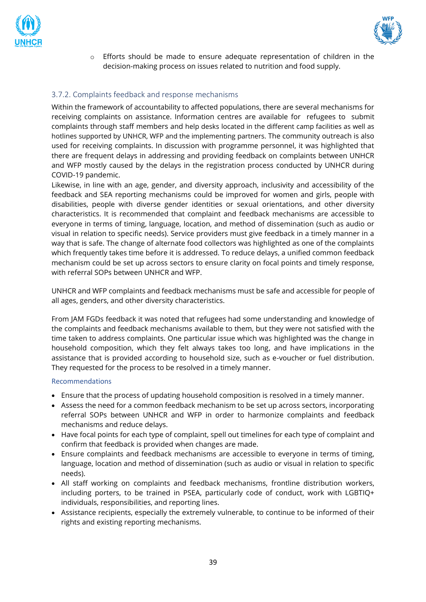



 $\circ$  Efforts should be made to ensure adequate representation of children in the decision-making process on issues related to nutrition and food supply.

# <span id="page-38-0"></span>3.7.2. Complaints feedback and response mechanisms

Within the framework of accountability to affected populations, there are several mechanisms for receiving complaints on assistance. Information centres are available for refugees to submit complaints through staff members and help desks located in the different camp facilities as well as hotlines supported by UNHCR, WFP and the implementing partners. The community outreach is also used for receiving complaints. In discussion with programme personnel, it was highlighted that there are frequent delays in addressing and providing feedback on complaints between UNHCR and WFP mostly caused by the delays in the registration process conducted by UNHCR during COVID-19 pandemic.

Likewise, in line with an age, gender, and diversity approach, inclusivity and accessibility of the feedback and SEA reporting mechanisms could be improved for women and girls, people with disabilities, people with diverse gender identities or sexual orientations, and other diversity characteristics. It is recommended that complaint and feedback mechanisms are accessible to everyone in terms of timing, language, location, and method of dissemination (such as audio or visual in relation to specific needs). Service providers must give feedback in a timely manner in a way that is safe. The change of alternate food collectors was highlighted as one of the complaints which frequently takes time before it is addressed. To reduce delays, a unified common feedback mechanism could be set up across sectors to ensure clarity on focal points and timely response, with referral SOPs between UNHCR and WFP.

UNHCR and WFP complaints and feedback mechanisms must be safe and accessible for people of all ages, genders, and other diversity characteristics.

From JAM FGDs feedback it was noted that refugees had some understanding and knowledge of the complaints and feedback mechanisms available to them, but they were not satisfied with the time taken to address complaints. One particular issue which was highlighted was the change in household composition, which they felt always takes too long, and have implications in the assistance that is provided according to household size, such as e-voucher or fuel distribution. They requested for the process to be resolved in a timely manner.

#### Recommendations

- Ensure that the process of updating household composition is resolved in a timely manner.
- Assess the need for a common feedback mechanism to be set up across sectors, incorporating referral SOPs between UNHCR and WFP in order to harmonize complaints and feedback mechanisms and reduce delays.
- Have focal points for each type of complaint, spell out timelines for each type of complaint and confirm that feedback is provided when changes are made.
- Ensure complaints and feedback mechanisms are accessible to everyone in terms of timing, language, location and method of dissemination (such as audio or visual in relation to specific needs).
- All staff working on complaints and feedback mechanisms, frontline distribution workers, including porters, to be trained in PSEA, particularly code of conduct, work with LGBTIQ+ individuals, responsibilities, and reporting lines.
- Assistance recipients, especially the extremely vulnerable, to continue to be informed of their rights and existing reporting mechanisms.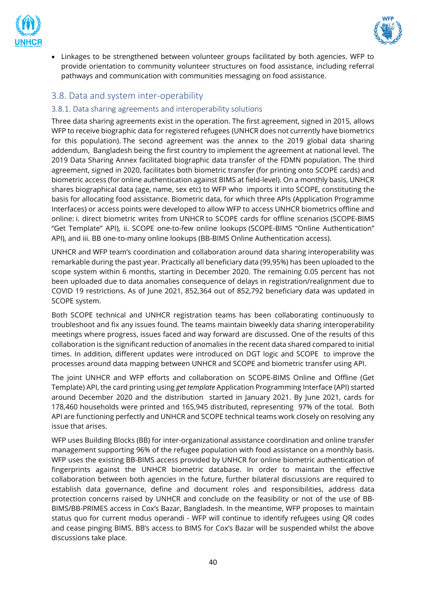



• Linkages to be strengthened between volunteer groups facilitated by both agencies. WFP to provide orientation to community volunteer structures on food assistance, including referral pathways and communication with communities messaging on food assistance.

# <span id="page-39-0"></span>3.8. Data and system inter-operability

# <span id="page-39-1"></span>3.8.1. Data sharing agreements and interoperability solutions

Three data sharing agreements exist in the operation. The first agreement, signed in 2015, allows WFP to receive biographic data for registered refugees (UNHCR does not currently have biometrics for this population). The second agreement was the annex to the 2019 global data sharing addendum, Bangladesh being the first country to implement the agreement at national level. The 2019 Data Sharing Annex facilitated biographic data transfer of the FDMN population. The third agreement, signed in 2020, facilitates both biometric transfer (for printing onto SCOPE cards) and biometric access (for online authentication against BIMS at field-level). On a monthly basis, UNHCR shares biographical data (age, name, sex etc) to WFP who imports it into SCOPE, constituting the basis for allocating food assistance. Biometric data, for which three APIs (Application Programme Interfaces) or access points were developed to allow WFP to access UNHCR biometrics offline and online: i. direct biometric writes from UNHCR to SCOPE cards for offline scenarios (SCOPE-BIMS "Get Template" API), ii. SCOPE one-to-few online lookups (SCOPE-BIMS "Online Authentication" API), and iii. BB one-to-many online lookups (BB-BIMS Online Authentication access).

UNHCR and WFP team's coordination and collaboration around data sharing interoperability was remarkable during the past year. Practically all beneficiary data (99,95%) has been uploaded to the scope system within 6 months, starting in December 2020. The remaining 0.05 percent has not been uploaded due to data anomalies consequence of delays in registration/realignment due to COVID 19 restrictions. As of June 2021, 852,364 out of 852,792 beneficiary data was updated in SCOPE system.

Both SCOPE technical and UNHCR registration teams has been collaborating continuously to troubleshoot and fix any issues found. The teams maintain biweekly data sharing interoperability meetings where progress, issues faced and way forward are discussed. One of the results of this collaboration is the significant reduction of anomalies in the recent data shared compared to initial times. In addition, different updates were introduced on DGT logic and SCOPE to improve the processes around data mapping between UNHCR and SCOPE and biometric transfer using API.

The joint UNHCR and WFP efforts and collaboration on SCOPE-BIMS Online and Offline (Get Template) API, the card printing using *get template* Application Programming Interface (API) started around December 2020 and the distribution started in January 2021. By June 2021, cards for 178,460 households were printed and 165,945 distributed, representing 97% of the total. Both API are functioning perfectly and UNHCR and SCOPE technical teams work closely on resolving any issue that arises.

WFP uses Building Blocks (BB) for inter-organizational assistance coordination and online transfer management supporting 96% of the refugee population with food assistance on a monthly basis. WFP uses the existing BB-BIMS access provided by UNHCR for online biometric authentication of fingerprints against the UNHCR biometric database. In order to maintain the effective collaboration between both agencies in the future, further bilateral discussions are required to establish data governance, define and document roles and responsibilities, address data protection concerns raised by UNHCR and conclude on the feasibility or not of the use of BB-BIMS/BB-PRIMES access in Cox's Bazar, Bangladesh. In the meantime, WFP proposes to maintain status quo for current modus operandi - WFP will continue to identify refugees using QR codes and cease pinging BIMS. BB's access to BIMS for Cox's Bazar will be suspended whilst the above discussions take place.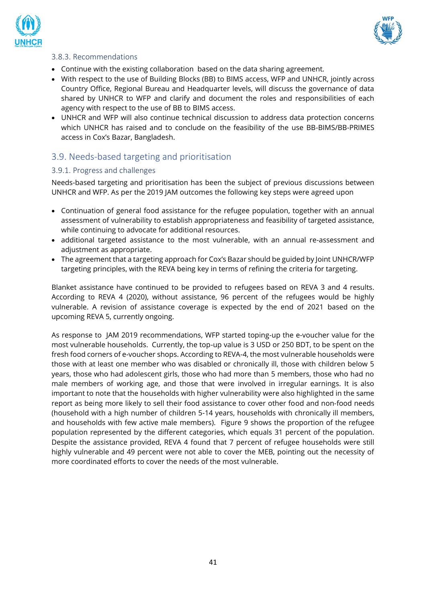



# <span id="page-40-0"></span>3.8.3. Recommendations

- Continue with the existing collaboration based on the data sharing agreement.
- With respect to the use of Building Blocks (BB) to BIMS access, WFP and UNHCR, jointly across Country Office, Regional Bureau and Headquarter levels, will discuss the governance of data shared by UNHCR to WFP and clarify and document the roles and responsibilities of each agency with respect to the use of BB to BIMS access.
- UNHCR and WFP will also continue technical discussion to address data protection concerns which UNHCR has raised and to conclude on the feasibility of the use BB-BIMS/BB-PRIMES access in Cox's Bazar, Bangladesh.

# <span id="page-40-1"></span>3.9. Needs-based targeting and prioritisation

#### <span id="page-40-2"></span>3.9.1. Progress and challenges

Needs-based targeting and prioritisation has been the subject of previous discussions between UNHCR and WFP. As per the 2019 JAM outcomes the following key steps were agreed upon

- Continuation of general food assistance for the refugee population, together with an annual assessment of vulnerability to establish appropriateness and feasibility of targeted assistance, while continuing to advocate for additional resources.
- additional targeted assistance to the most vulnerable, with an annual re-assessment and adjustment as appropriate.
- The agreement that a targeting approach for Cox's Bazar should be guided by Joint UNHCR/WFP targeting principles, with the REVA being key in terms of refining the criteria for targeting.

Blanket assistance have continued to be provided to refugees based on REVA 3 and 4 results. According to REVA 4 (2020), without assistance, 96 percent of the refugees would be highly vulnerable. A revision of assistance coverage is expected by the end of 2021 based on the upcoming REVA 5, currently ongoing.

As response to JAM 2019 recommendations, WFP started toping-up the e-voucher value for the most vulnerable households. Currently, the top-up value is 3 USD or 250 BDT, to be spent on the fresh food corners of e-voucher shops. According to REVA-4, the most vulnerable households were those with at least one member who was disabled or chronically ill, those with children below 5 years, those who had adolescent girls, those who had more than 5 members, those who had no male members of working age, and those that were involved in irregular earnings. It is also important to note that the households with higher vulnerability were also highlighted in the same report as being more likely to sell their food assistance to cover other food and non-food needs (household with a high number of children 5-14 years, households with chronically ill members, and households with few active male members). Figure 9 shows the proportion of the refugee population represented by the different categories, which equals 31 percent of the population. Despite the assistance provided, REVA 4 found that 7 percent of refugee households were still highly vulnerable and 49 percent were not able to cover the MEB, pointing out the necessity of more coordinated efforts to cover the needs of the most vulnerable.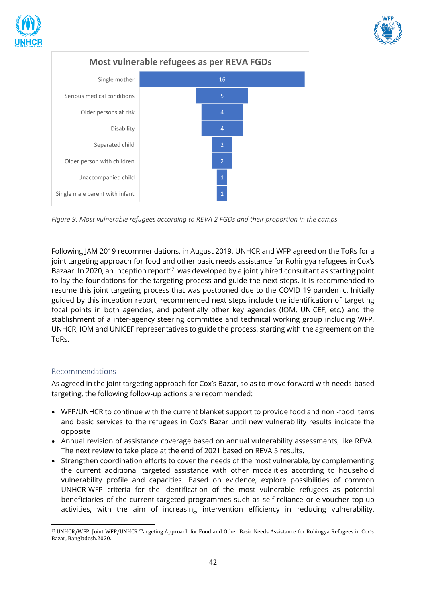





*Figure 9. Most vulnerable refugees according to REVA 2 FGDs and their proportion in the camps.*

Following JAM 2019 recommendations, in August 2019, UNHCR and WFP agreed on the ToRs for a joint targeting approach for food and other basic needs assistance for Rohingya refugees in Cox's Bazaar. In 2020, an inception report<sup>47</sup> was developed by a jointly hired consultant as starting point to lay the foundations for the targeting process and guide the next steps. It is recommended to resume this joint targeting process that was postponed due to the COVID 19 pandemic. Initially guided by this inception report, recommended next steps include the identification of targeting focal points in both agencies, and potentially other key agencies (IOM, UNICEF, etc.) and the stablishment of a inter-agency steering committee and technical working group including WFP, UNHCR, IOM and UNICEF representatives to guide the process, starting with the agreement on the ToRs.

# <span id="page-41-0"></span>Recommendations

As agreed in the joint targeting approach for Cox's Bazar, so as to move forward with needs-based targeting, the following follow-up actions are recommended:

- WFP/UNHCR to continue with the current blanket support to provide food and non -food items and basic services to the refugees in Cox's Bazar until new vulnerability results indicate the opposite
- Annual revision of assistance coverage based on annual vulnerability assessments, like REVA. The next review to take place at the end of 2021 based on REVA 5 results.
- Strengthen coordination efforts to cover the needs of the most vulnerable, by complementing the current additional targeted assistance with other modalities according to household vulnerability profile and capacities. Based on evidence, explore possibilities of common UNHCR-WFP criteria for the identification of the most vulnerable refugees as potential beneficiaries of the current targeted programmes such as self-reliance or e-voucher top-up activities, with the aim of increasing intervention efficiency in reducing vulnerability.

<sup>47</sup> UNHCR/WFP. Joint WFP/UNHCR Targeting Approach for Food and Other Basic Needs Assistance for Rohingya Refugees in Cox's Bazar, Bangladesh.2020.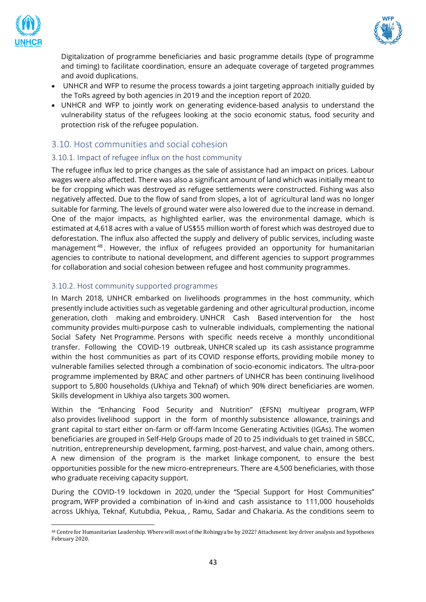



Digitalization of programme beneficiaries and basic programme details (type of programme and timing) to facilitate coordination, ensure an adequate coverage of targeted programmes and avoid duplications.

- UNHCR and WFP to resume the process towards a joint targeting approach initially guided by the ToRs agreed by both agencies in 2019 and the inception report of 2020.
- UNHCR and WFP to jointly work on generating evidence-based analysis to understand the vulnerability status of the refugees looking at the socio economic status, food security and protection risk of the refugee population.

# <span id="page-42-0"></span>3.10. Host communities and social cohesion

# <span id="page-42-1"></span>3.10.1. Impact of refugee influx on the host community

The refugee influx led to price changes as the sale of assistance had an impact on prices. Labour wages were also affected. There was also a significant amount of land which was initially meant to be for cropping which was destroyed as refugee settlements were constructed. Fishing was also negatively affected. Due to the flow of sand from slopes, a lot of agricultural land was no longer suitable for farming. The levels of ground water were also lowered due to the increase in demand. One of the major impacts, as highlighted earlier, was the environmental damage, which is estimated at 4,618 acres with a value of US\$55 million worth of forest which was destroyed due to deforestation. The influx also affected the supply and delivery of public services, including waste management<sup>48</sup>. However, the influx of refugees provided an opportunity for humanitarian agencies to contribute to national development, and different agencies to support programmes for collaboration and social cohesion between refugee and host community programmes.

# <span id="page-42-2"></span>3.10.2. Host community supported programmes

In March 2018, UNHCR embarked on livelihoods programmes in the host community, which presently include activities such as vegetable gardening and other agricultural production, income generation, cloth making and embroidery. UNHCR Cash Based intervention for the host community provides multi-purpose cash to vulnerable individuals, complementing the national Social Safety Net Programme. Persons with specific needs receive a monthly unconditional transfer. Following the COVID-19 outbreak, UNHCR scaled up its cash assistance programme within the host communities as part of its COVID response efforts, providing mobile money to vulnerable families selected through a combination of socio-economic indicators. The ultra-poor programme implemented by BRAC and other partners of UNHCR has been continuing livelihood support to 5,800 households (Ukhiya and Teknaf) of which 90% direct beneficiaries are women. Skills development in Ukhiya also targets 300 women.

Within the "Enhancing Food Security and Nutrition" (EFSN) multiyear program, WFP also provides livelihood support in the form of monthly subsistence allowance, trainings and grant capital to start either on-farm or off-farm Income Generating Activities (IGAs). The women beneficiaries are grouped in Self-Help Groups made of 20 to 25 individuals to get trained in SBCC, nutrition, entrepreneurship development, farming, post-harvest, and value chain, among others. A new dimension of the program is the market linkage component, to ensure the best opportunities possible for the new micro-entrepreneurs. There are 4,500 beneficiaries, with those who graduate receiving capacity support.

During the COVID-19 lockdown in 2020, under the "Special Support for Host Communities" program, WFP provided a combination of in-kind and cash assistance to 111,000 households across Ukhiya, Teknaf, Kutubdia, Pekua, , Ramu, Sadar and Chakaria. As the conditions seem to

<sup>48</sup> Centre for Humanitarian Leadership. Where will most of the Rohingya be by 2022? Attachment: key driver analysis and hypotheses February 2020.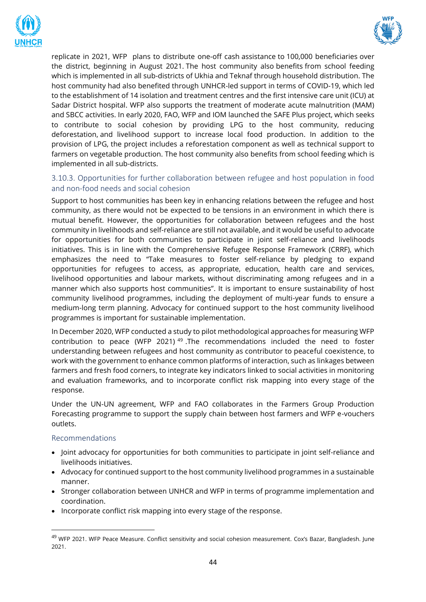



replicate in 2021, WFP plans to distribute one-off cash assistance to 100,000 beneficiaries over the district, beginning in August 2021. The host community also benefits from school feeding which is implemented in all sub-districts of Ukhia and Teknaf through household distribution. The host community had also benefited through UNHCR-led support in terms of COVID-19, which led to the establishment of 14 isolation and treatment centres and the first intensive care unit (ICU) at Sadar District hospital. WFP also supports the treatment of moderate acute malnutrition (MAM) and SBCC activities. In early 2020, FAO, WFP and IOM launched the SAFE Plus project, which seeks to contribute to social cohesion by providing LPG to the host community, reducing deforestation, and livelihood support to increase local food production. In addition to the provision of LPG, the project includes a reforestation component as well as technical support to farmers on vegetable production. The host community also benefits from school feeding which is implemented in all sub-districts.

# <span id="page-43-0"></span>3.10.3. Opportunities for further collaboration between refugee and host population in food and non-food needs and social cohesion

Support to host communities has been key in enhancing relations between the refugee and host community, as there would not be expected to be tensions in an environment in which there is mutual benefit. However, the opportunities for collaboration between refugees and the host community in livelihoods and self-reliance are still not available, and it would be useful to advocate for opportunities for both communities to participate in joint self-reliance and livelihoods initiatives. This is in line with the Comprehensive Refugee Response Framework (CRRF), which emphasizes the need to "Take measures to foster self-reliance by pledging to expand opportunities for refugees to access, as appropriate, education, health care and services, livelihood opportunities and labour markets, without discriminating among refugees and in a manner which also supports host communities". It is important to ensure sustainability of host community livelihood programmes, including the deployment of multi-year funds to ensure a medium-long term planning. Advocacy for continued support to the host community livelihood programmes is important for sustainable implementation.

In December 2020, WFP conducted a study to pilot methodological approaches for measuring WFP contribution to peace (WFP 2021)  $49$  .The recommendations included the need to foster understanding between refugees and host community as contributor to peaceful coexistence, to work with the government to enhance common platforms of interaction, such as linkages between farmers and fresh food corners, to integrate key indicators linked to social activities in monitoring and evaluation frameworks, and to incorporate conflict risk mapping into every stage of the response.

Under the UN-UN agreement, WFP and FAO collaborates in the Farmers Group Production Forecasting programme to support the supply chain between host farmers and WFP e-vouchers outlets.

#### Recommendations

- Joint advocacy for opportunities for both communities to participate in joint self-reliance and livelihoods initiatives.
- Advocacy for continued support to the host community livelihood programmes in a sustainable manner.
- Stronger collaboration between UNHCR and WFP in terms of programme implementation and coordination.
- Incorporate conflict risk mapping into every stage of the response.

<sup>&</sup>lt;sup>49</sup> WFP 2021. WFP Peace Measure. Conflict sensitivity and social cohesion measurement. Cox's Bazar, Bangladesh. June 2021.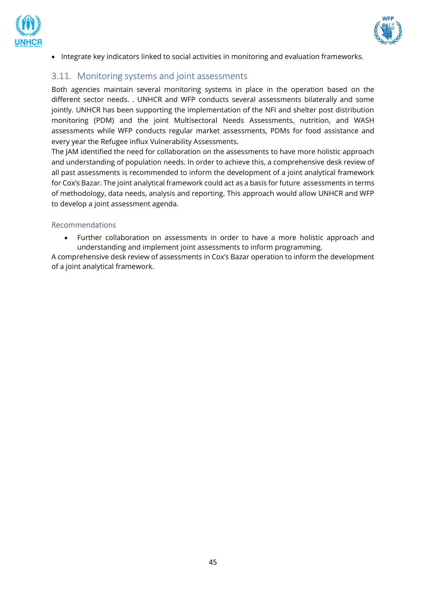



• Integrate key indicators linked to social activities in monitoring and evaluation frameworks.

# <span id="page-44-0"></span>3.11. Monitoring systems and joint assessments

Both agencies maintain several monitoring systems in place in the operation based on the different sector needs. . UNHCR and WFP conducts several assessments bilaterally and some jointly. UNHCR has been supporting the implementation of the NFI and shelter post distribution monitoring (PDM) and the joint Multisectoral Needs Assessments, nutrition, and WASH assessments while WFP conducts regular market assessments, PDMs for food assistance and every year the Refugee influx Vulnerability Assessments.

The JAM identified the need for collaboration on the assessments to have more holistic approach and understanding of population needs. In order to achieve this, a comprehensive desk review of all past assessments is recommended to inform the development of a joint analytical framework for Cox's Bazar. The joint analytical framework could act as a basis for future assessments in terms of methodology, data needs, analysis and reporting. This approach would allow UNHCR and WFP to develop a joint assessment agenda.

#### Recommendations

• Further collaboration on assessments in order to have a more holistic approach and understanding and implement joint assessments to inform programming.

A comprehensive desk review of assessments in Cox's Bazar operation to inform the development of a joint analytical framework.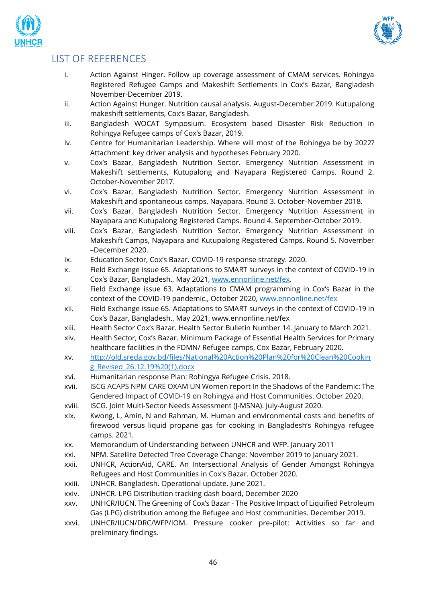



# <span id="page-45-0"></span>LIST OF REFERENCES

- i. Action Against Hinger. Follow up coverage assessment of CMAM services. Rohingya Registered Refugee Camps and Makeshift Settlements in Cox's Bazar, Bangladesh November-December 2019.
- ii. Action Against Hunger. Nutrition causal analysis. August-December 2019. Kutupalong makeshift settlements, Cox's Bazar, Bangladesh.
- iii. Bangladesh WOCAT Symposium. Ecosystem based Disaster Risk Reduction in Rohingya Refugee camps of Cox's Bazar, 2019.
- iv. Centre for Humanitarian Leadership. Where will most of the Rohingya be by 2022? Attachment: key driver analysis and hypotheses February 2020.
- v. Cox's Bazar, Bangladesh Nutrition Sector. Emergency Nutrition Assessment in Makeshift settlements, Kutupalong and Nayapara Registered Camps. Round 2. October-November 2017.
- vi. Cox's Bazar, Bangladesh Nutrition Sector. Emergency Nutrition Assessment in Makeshift and spontaneous camps, Nayapara. Round 3. October-November 2018.
- vii. Cox's Bazar, Bangladesh Nutrition Sector. Emergency Nutrition Assessment in Nayapara and Kutupalong Registered Camps. Round 4. September-October 2019.
- viii. Cox's Bazar, Bangladesh Nutrition Sector. Emergency Nutrition Assessment in Makeshift Camps, Nayapara and Kutupalong Registered Camps. Round 5. November –December 2020.
- ix. Education Sector, Cox's Bazar. COVID-19 response strategy. 2020.
- x. Field Exchange issue 65. Adaptations to SMART surveys in the context of COVID-19 in Cox's Bazar, Bangladesh., May 2021, [www.ennonline.net/fex.](http://www.ennonline.net/fex)
- xi. Field Exchange issue 63. Adaptations to CMAM programming in Cox's Bazar in the context of the COVID-19 pandemic., October 2020, [www.ennonline.net/fex](http://www.ennonline.net/fex)
- xii. Field Exchange issue 65. Adaptations to SMART surveys in the context of COVID-19 in Cox's Bazar, Bangladesh., May 2021, www.ennonline.net/fex
- xiii. Health Sector Cox's Bazar. Health Sector Bulletin Number 14. January to March 2021.
- xiv. Health Sector, Cox's Bazar. Minimum Package of Essential Health Services for Primary healthcare facilities in the FDMN/ Refugee camps, Cox Bazar, February 2020.
- xv. [http://old.sreda.gov.bd/files/National%20Action%20Plan%20for%20Clean%20Cookin](http://old.sreda.gov.bd/files/National%20Action%20Plan%20for%20Clean%20Cooking_Revised_26.12.19%20(1).docx) [g\\_Revised\\_26.12.19%20\(1\).docx](http://old.sreda.gov.bd/files/National%20Action%20Plan%20for%20Clean%20Cooking_Revised_26.12.19%20(1).docx)
- xvi. Humanitarian response Plan: Rohingya Refugee Crisis. 2018.
- xvii. ISCG ACAPS NPM CARE OXAM UN Women report In the Shadows of the Pandemic: The Gendered Impact of COVID-19 on Rohingya and Host Communities. October 2020.
- xviii. ISCG. Joint Multi-Sector Needs Assessment (J-MSNA). July-August 2020.
- xix. Kwong, L, Amin, N and Rahman, M. Human and environmental costs and benefits of firewood versus liquid propane gas for cooking in Bangladesh's Rohingya refugee camps. 2021.
- xx. Memorandum of Understanding between UNHCR and WFP. January 2011
- xxi. NPM. [Satellite Detected Tree Coverage Change: November 2019 to January 2021.](https://ago-item-storage.s3.us-east-1.amazonaws.com/0a995a9b0e0f4c288a2314f44a507152/Regrowth_2021_ind.pdf?X-Amz-Security-Token=IQoJb3JpZ2luX2VjEB4aCXVzLWVhc3QtMSJGMEQCIEkCcW5s9fx3Zm3t7dOY5yfg4gbwJ%2BfdSypFNGEZ7JjlAiAFf%2F0MoK2Dxby6wz6a7aRXkzCS3M3%2BzIbkfRAegRBEciqDBAjn%2F%2F%2F%2F%2F%2F%2F%2F%2F%2F8BEAAaDDYwNDc1ODEwMjY2NSIM4qaPbIjvwBbpRFEYKtcDx00y6SXrmvIdskM6WkDztDXQDLUzbpt%2BRJA6Z6AHzEJtXJpF7vfSu1jgp%2BEMrx2ovveuVbJyRQw5q4MtNUQgMZzu2WS0t46gKyFC4HmXx%2BBuPrM7MoTM%2Fp2sPPCCK2%2B%2B%2BGItREqJpZ5m3mWGSjhEOdjxd%2FRqli2GJzu7SeJfzNKSqFfxzltzG8yuwXeqI9acxK55WCzrsFkg%2FJXMKgytak9843vzoWZkEaI9Cj4jI9S%2F0lBGNS8qGfduqhoMeUPBZYN0W7ZoMAb0mblwBJN5FkbX67p2mwCE2Ug3AAHWcK4X%2Bn11bMbyrPSwtBQIi35Es2nLjAvj0f2zKqBdfVK%2BW9rEcTDkQby%2BLpYNWrRcMdF6qGvjQJQf7RWvTf%2BdLVxVH3eUdp%2Bs0iwjj6ydcnNeYDtiVmsjaZd7FzBFn8FcPpn8PFPaCkmsRD9W0g2sAKqhYLp5D9vpwkoY9FZ0rrgcMG%2FokIWjbMvp0waum08vJ0X5G%2Fa978jZHeCB8302SFYVWFmZW%2B%2BztAxX4iqsNDdPq%2FjrmdlnfyXhoigowAd6H1wEdx2iNAXfQNpoXar38ex7nZtlsJdwa4YxeYrLGbTLhAuIXp%2FYtZpvLUcHtj1mHfiwj5R%2FoKOYMJWSy4YGOqYBmYUcpnSRRk0KqPWEsRC3VBN15IawgzcOY1ZQ7DKi6oPlQS0wrnMfNJ75ekc4a4XSKYmv4YIAXXIBf7rN5ZN4CnyNwxiaPpGfYs8Xod0jVodCyRI03F49jgkUrterFDeKAIudZp8szHw6V0%2FLCHK1s%2BLO274Yqq7lje4C6xdqaGCgslWgU1CvxeywguoUri7pi2dSe9Mh3yJSqC0JbvFj362PBdMssg%3D%3D&X-Amz-Algorithm=AWS4-HMAC-SHA256&X-Amz-Date=20210623T065741Z&X-Amz-SignedHeaders=host&X-Amz-Expires=300&X-Amz-Credential=ASIAYZTTEKKEU56QPJ2R%2F20210623%2Fus-east-1%2Fs3%2Faws4_request&X-Amz-Signature=646388193dbcde3a00127bd2b58b583e82f0e3a1ee3775f40bdd58863cde0785)
- xxii. UNHCR, ActionAid, CARE. An Intersectional Analysis of Gender Amongst Rohingya Refugees and Host Communities in Cox's Bazar. October 2020.
- xxiii. UNHCR. Bangladesh. Operational update. June 2021.
- xxiv. UNHCR. LPG Distribution tracking dash board, December 2020
- xxv. UNHCR/IUCN. The Greening of Cox's Bazar The Positive Impact of Liquified Petroleum Gas (LPG) distribution among the Refugee and Host communities. December 2019.
- xxvi. UNHCR/IUCN/DRC/WFP/IOM. Pressure cooker pre-pilot: Activities so far and preliminary findings.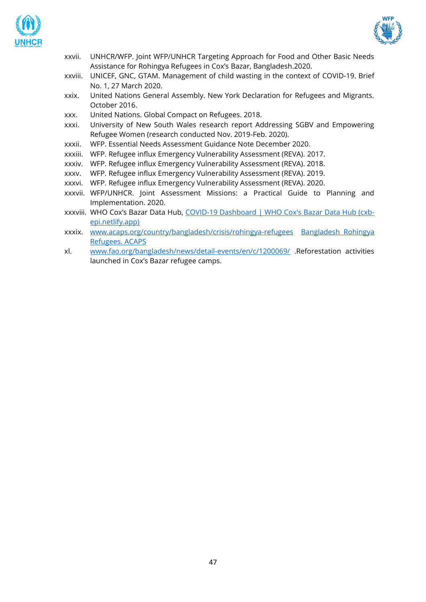



- xxvii. UNHCR/WFP. Joint WFP/UNHCR Targeting Approach for Food and Other Basic Needs Assistance for Rohingya Refugees in Cox's Bazar, Bangladesh.2020.
- xxviii. UNICEF, GNC, GTAM. Management of child wasting in the context of COVID-19. Brief No. 1, 27 March 2020.
- xxix. United Nations General Assembly. New York Declaration for Refugees and Migrants. October 2016.
- xxx. United Nations. Global Compact on Refugees. 2018.
- xxxi. University of New South Wales research report Addressing SGBV and Empowering Refugee Women (research conducted Nov. 2019-Feb. 2020).
- xxxii. WFP. Essential Needs Assessment Guidance Note December 2020.
- xxxiii. WFP. Refugee influx Emergency Vulnerability Assessment (REVA). 2017.
- xxxiv. WFP. Refugee influx Emergency Vulnerability Assessment (REVA). 2018.
- xxxv. WFP. Refugee influx Emergency Vulnerability Assessment (REVA). 2019.
- xxxvi. WFP. Refugee influx Emergency Vulnerability Assessment (REVA). 2020.
- xxxvii. WFP/UNHCR. Joint Assessment Missions: a Practical Guide to Planning and Implementation. 2020.
- xxxviii. WHO Cox's Bazar Data Hub, [COVID-19 Dashboard | WHO Cox's Bazar Data Hub \(cxb](https://cxb-epi.netlify.app/post/covid-19-dashboard/)[epi.netlify.app\)](https://cxb-epi.netlify.app/post/covid-19-dashboard/)
- xxxix. [www.acaps.org/country/bangladesh/crisis/rohingya-refugees](http://www.acaps.org/country/bangladesh/crisis/rohingya-refugees) [Bangladesh Rohingya](https://www.acaps.org/country/bangladesh/crisis/rohingya-refugees)  [Refugees. ACAPS](https://www.acaps.org/country/bangladesh/crisis/rohingya-refugees)
- xl. [www.fao.org/bangladesh/news/detail-events/en/c/1200069/](http://www.fao.org/bangladesh/news/detail-events/en/c/1200069/) .Reforestation activities launched in Cox's Bazar refugee camps.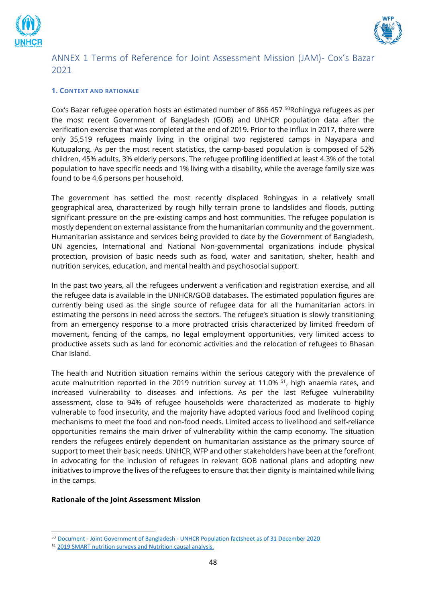



# <span id="page-47-0"></span>ANNEX 1 Terms of Reference for Joint Assessment Mission (JAM)- Cox's Bazar 2021

#### **1. CONTEXT AND RATIONALE**

Cox's Bazar refugee operation hosts an estimated number of 866 457  $^{50}$ Rohingya refugees as per the most recent Government of Bangladesh (GOB) and UNHCR population data after the verification exercise that was completed at the end of 2019. Prior to the influx in 2017, there were only 35,519 refugees mainly living in the original two registered camps in Nayapara and Kutupalong. As per the most recent statistics, the camp-based population is composed of 52% children, 45% adults, 3% elderly persons. The refugee profiling identified at least 4.3% of the total population to have specific needs and 1% living with a disability, while the average family size was found to be 4.6 persons per household.

The government has settled the most recently displaced Rohingyas in a relatively small geographical area, characterized by rough hilly terrain prone to landslides and floods, putting significant pressure on the pre-existing camps and host communities. The refugee population is mostly dependent on external assistance from the humanitarian community and the government. Humanitarian assistance and services being provided to date by the Government of Bangladesh, UN agencies, International and National Non-governmental organizations include physical protection, provision of basic needs such as food, water and sanitation, shelter, health and nutrition services, education, and mental health and psychosocial support.

In the past two years, all the refugees underwent a verification and registration exercise, and all the refugee data is available in the UNHCR/GOB databases. The estimated population figures are currently being used as the single source of refugee data for all the humanitarian actors in estimating the persons in need across the sectors. The refugee's situation is slowly transitioning from an emergency response to a more protracted crisis characterized by limited freedom of movement, fencing of the camps, no legal employment opportunities, very limited access to productive assets such as land for economic activities and the relocation of refugees to Bhasan Char Island.

The health and Nutrition situation remains within the serious category with the prevalence of acute malnutrition reported in the 2019 nutrition survey at 11.0% <sup>51</sup>, high anaemia rates, and increased vulnerability to diseases and infections. As per the last Refugee vulnerability assessment, close to 94% of refugee households were characterized as moderate to highly vulnerable to food insecurity, and the majority have adopted various food and livelihood coping mechanisms to meet the food and non-food needs. Limited access to livelihood and self-reliance opportunities remains the main driver of vulnerability within the camp economy. The situation renders the refugees entirely dependent on humanitarian assistance as the primary source of support to meet their basic needs. UNHCR, WFP and other stakeholders have been at the forefront in advocating for the inclusion of refugees in relevant GOB national plans and adopting new initiatives to improve the lives of the refugees to ensure that their dignity is maintained while living in the camps.

#### **Rationale of the Joint Assessment Mission**

<sup>50</sup> Document - Joint Government of Bangladesh - [UNHCR Population factsheet as of 31 December 2020](https://data2.unhcr.org/en/documents/details/84077)

<sup>51</sup> 2019 SMART nutrition surveys and Nutrition causal analysis.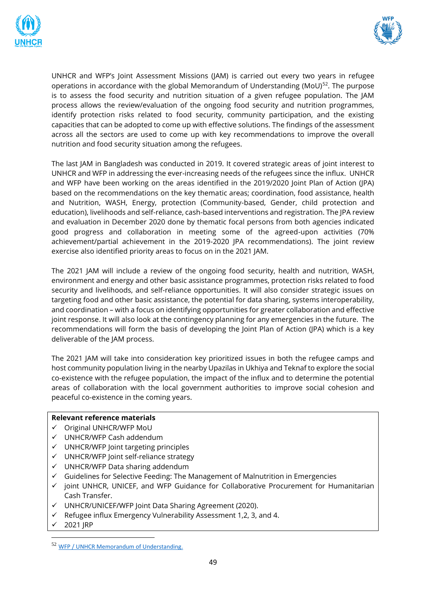



UNHCR and WFP's Joint Assessment Missions (JAM) is carried out every two years in refugee operations in accordance with the global Memorandum of Understanding ( $M_0$ U)<sup>52</sup>. The purpose is to assess the food security and nutrition situation of a given refugee population. The JAM process allows the review/evaluation of the ongoing food security and nutrition programmes, identify protection risks related to food security, community participation, and the existing capacities that can be adopted to come up with effective solutions. The findings of the assessment across all the sectors are used to come up with key recommendations to improve the overall nutrition and food security situation among the refugees.

The last JAM in Bangladesh was conducted in 2019. It covered strategic areas of joint interest to UNHCR and WFP in addressing the ever-increasing needs of the refugees since the influx. UNHCR and WFP have been working on the areas identified in the 2019/2020 Joint Plan of Action (JPA) based on the recommendations on the key thematic areas; coordination, food assistance, health and Nutrition, WASH, Energy, protection (Community-based, Gender, child protection and education), livelihoods and self-reliance, cash-based interventions and registration. The JPA review and evaluation in December 2020 done by thematic focal persons from both agencies indicated good progress and collaboration in meeting some of the agreed-upon activities (70% achievement/partial achievement in the 2019-2020 JPA recommendations). The joint review exercise also identified priority areas to focus on in the 2021 JAM.

The 2021 JAM will include a review of the ongoing food security, health and nutrition, WASH, environment and energy and other basic assistance programmes, protection risks related to food security and livelihoods, and self-reliance opportunities. It will also consider strategic issues on targeting food and other basic assistance, the potential for data sharing, systems interoperability, and coordination – with a focus on identifying opportunities for greater collaboration and effective joint response. It will also look at the contingency planning for any emergencies in the future. The recommendations will form the basis of developing the Joint Plan of Action (JPA) which is a key deliverable of the JAM process.

The 2021 JAM will take into consideration key prioritized issues in both the refugee camps and host community population living in the nearby Upazilas in Ukhiya and Teknaf to explore the social co-existence with the refugee population, the impact of the influx and to determine the potential areas of collaboration with the local government authorities to improve social cohesion and peaceful co-existence in the coming years.

#### **Relevant reference materials**

- ✓ Original UNHCR/WFP MoU
- ✓ UNHCR/WFP Cash addendum
- ✓ UNHCR/WFP Joint targeting principles
- ✓ UNHCR/WFP Joint self-reliance strategy
- ✓ UNHCR/WFP Data sharing addendum
- $\checkmark$  Guidelines for Selective Feeding: The Management of Malnutrition in Emergencies
- $\checkmark$  joint UNHCR, UNICEF, and WFP Guidance for Collaborative Procurement for Humanitarian Cash Transfer.
- ✓ UNHCR/UNICEF/WFP Joint Data Sharing Agreement (2020).
- $\checkmark$  Refugee influx Emergency Vulnerability Assessment 1,2, 3, and 4.
- 2021 IRP

<sup>52</sup> [WFP / UNHCR Memorandum of Understanding.](https://www.unhcr.org/53465c929.pdf)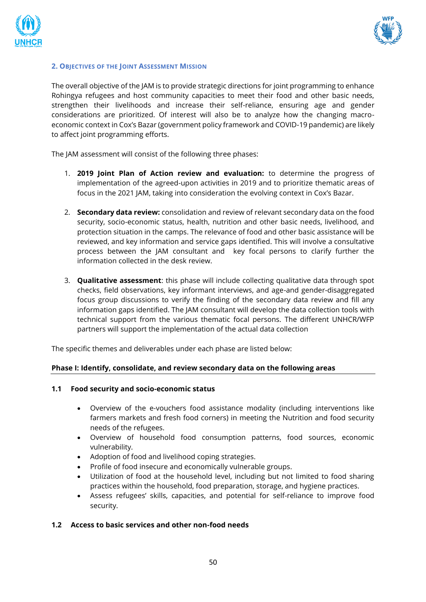



#### **2. OBJECTIVES OF THE JOINT ASSESSMENT MISSION**

The overall objective of the JAM is to provide strategic directions for joint programming to enhance Rohingya refugees and host community capacities to meet their food and other basic needs, strengthen their livelihoods and increase their self-reliance, ensuring age and gender considerations are prioritized. Of interest will also be to analyze how the changing macroeconomic context in Cox's Bazar (government policy framework and COVID-19 pandemic) are likely to affect joint programming efforts.

The JAM assessment will consist of the following three phases:

- 1. **2019 Joint Plan of Action review and evaluation:** to determine the progress of implementation of the agreed-upon activities in 2019 and to prioritize thematic areas of focus in the 2021 JAM, taking into consideration the evolving context in Cox's Bazar.
- 2. **Secondary data review:** consolidation and review of relevant secondary data on the food security, socio-economic status, health, nutrition and other basic needs, livelihood, and protection situation in the camps. The relevance of food and other basic assistance will be reviewed, and key information and service gaps identified. This will involve a consultative process between the JAM consultant and key focal persons to clarify further the information collected in the desk review.
- 3. **Qualitative assessment**: this phase will include collecting qualitative data through spot checks, field observations, key informant interviews, and age-and gender-disaggregated focus group discussions to verify the finding of the secondary data review and fill any information gaps identified. The JAM consultant will develop the data collection tools with technical support from the various thematic focal persons. The different UNHCR/WFP partners will support the implementation of the actual data collection

The specific themes and deliverables under each phase are listed below:

#### **Phase I: Identify, consolidate, and review secondary data on the following areas**

#### **1.1 Food security and socio-economic status**

- Overview of the e-vouchers food assistance modality (including interventions like farmers markets and fresh food corners) in meeting the Nutrition and food security needs of the refugees.
- Overview of household food consumption patterns, food sources, economic vulnerability.
- Adoption of food and livelihood coping strategies.
- Profile of food insecure and economically vulnerable groups.
- Utilization of food at the household level, including but not limited to food sharing practices within the household, food preparation, storage, and hygiene practices.
- Assess refugees' skills, capacities, and potential for self-reliance to improve food security.

#### **1.2 Access to basic services and other non-food needs**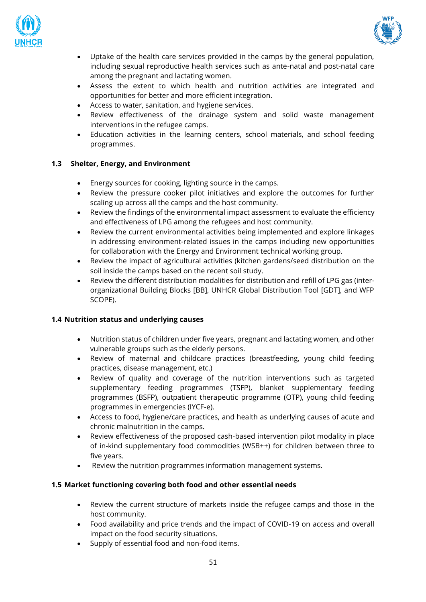



- Uptake of the health care services provided in the camps by the general population, including sexual reproductive health services such as ante-natal and post-natal care among the pregnant and lactating women.
- Assess the extent to which health and nutrition activities are integrated and opportunities for better and more efficient integration.
- Access to water, sanitation, and hygiene services.
- Review effectiveness of the drainage system and solid waste management interventions in the refugee camps.
- Education activities in the learning centers, school materials, and school feeding programmes.

#### **1.3 Shelter, Energy, and Environment**

- Energy sources for cooking, lighting source in the camps.
- Review the pressure cooker pilot initiatives and explore the outcomes for further scaling up across all the camps and the host community.
- Review the findings of the environmental impact assessment to evaluate the efficiency and effectiveness of LPG among the refugees and host community.
- Review the current environmental activities being implemented and explore linkages in addressing environment-related issues in the camps including new opportunities for collaboration with the Energy and Environment technical working group.
- Review the impact of agricultural activities (kitchen gardens/seed distribution on the soil inside the camps based on the recent soil study.
- Review the different distribution modalities for distribution and refill of LPG gas (interorganizational Building Blocks [BB], UNHCR Global Distribution Tool [GDT], and WFP SCOPE).

#### **1.4 Nutrition status and underlying causes**

- Nutrition status of children under five years, pregnant and lactating women, and other vulnerable groups such as the elderly persons.
- Review of maternal and childcare practices (breastfeeding, young child feeding practices, disease management, etc.)
- Review of quality and coverage of the nutrition interventions such as targeted supplementary feeding programmes (TSFP), blanket supplementary feeding programmes (BSFP), outpatient therapeutic programme (OTP), young child feeding programmes in emergencies (IYCF-e).
- Access to food, hygiene/care practices, and health as underlying causes of acute and chronic malnutrition in the camps.
- Review effectiveness of the proposed cash-based intervention pilot modality in place of in-kind supplementary food commodities (WSB++) for children between three to five years.
- Review the nutrition programmes information management systems.

#### **1.5 Market functioning covering both food and other essential needs**

- Review the current structure of markets inside the refugee camps and those in the host community.
- Food availability and price trends and the impact of COVID-19 on access and overall impact on the food security situations.
- Supply of essential food and non-food items.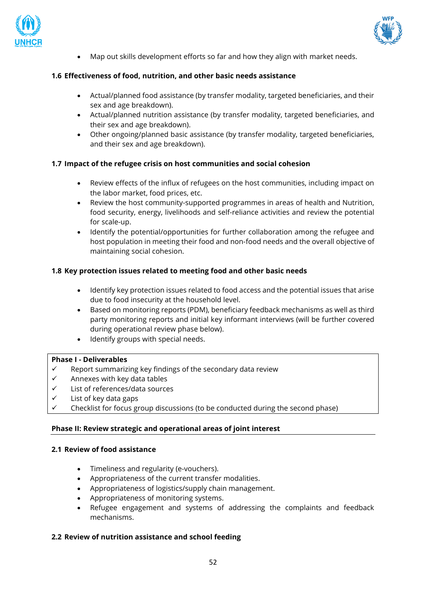



• Map out skills development efforts so far and how they align with market needs.

#### **1.6 Effectiveness of food, nutrition, and other basic needs assistance**

- Actual/planned food assistance (by transfer modality, targeted beneficiaries, and their sex and age breakdown).
- Actual/planned nutrition assistance (by transfer modality, targeted beneficiaries, and their sex and age breakdown).
- Other ongoing/planned basic assistance (by transfer modality, targeted beneficiaries, and their sex and age breakdown).

#### **1.7 Impact of the refugee crisis on host communities and social cohesion**

- Review effects of the influx of refugees on the host communities, including impact on the labor market, food prices, etc.
- Review the host community-supported programmes in areas of health and Nutrition, food security, energy, livelihoods and self-reliance activities and review the potential for scale-up.
- Identify the potential/opportunities for further collaboration among the refugee and host population in meeting their food and non-food needs and the overall objective of maintaining social cohesion.

#### **1.8 Key protection issues related to meeting food and other basic needs**

- Identify key protection issues related to food access and the potential issues that arise due to food insecurity at the household level.
- Based on monitoring reports (PDM), beneficiary feedback mechanisms as well as third party monitoring reports and initial key informant interviews (will be further covered during operational review phase below).
- Identify groups with special needs.

#### **Phase I - Deliverables**

- Report summarizing key findings of the secondary data review
- $\checkmark$  Annexes with key data tables
- ✓ List of references/data sources
- $\checkmark$  List of key data gaps
- Checklist for focus group discussions (to be conducted during the second phase)

#### **Phase II: Review strategic and operational areas of joint interest**

#### **2.1 Review of food assistance**

- Timeliness and regularity (e-vouchers).
- Appropriateness of the current transfer modalities.
- Appropriateness of logistics/supply chain management.
- Appropriateness of monitoring systems.
- Refugee engagement and systems of addressing the complaints and feedback mechanisms.

#### **2.2 Review of nutrition assistance and school feeding**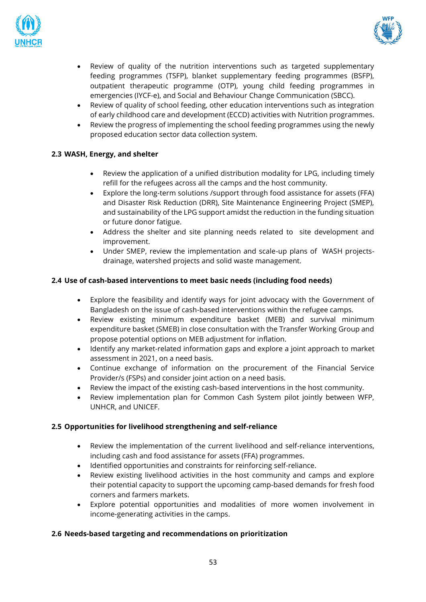



- Review of quality of the nutrition interventions such as targeted supplementary feeding programmes (TSFP), blanket supplementary feeding programmes (BSFP), outpatient therapeutic programme (OTP), young child feeding programmes in emergencies (IYCF-e), and Social and Behaviour Change Communication (SBCC).
- Review of quality of school feeding, other education interventions such as integration of early childhood care and development (ECCD) activities with Nutrition programmes.
- Review the progress of implementing the school feeding programmes using the newly proposed education sector data collection system.

#### **2.3 WASH, Energy, and shelter**

- Review the application of a unified distribution modality for LPG, including timely refill for the refugees across all the camps and the host community.
- Explore the long-term solutions /support through food assistance for assets (FFA) and Disaster Risk Reduction (DRR), Site Maintenance Engineering Project (SMEP), and sustainability of the LPG support amidst the reduction in the funding situation or future donor fatigue.
- Address the shelter and site planning needs related to site development and improvement.
- Under SMEP, review the implementation and scale-up plans of WASH projectsdrainage, watershed projects and solid waste management.

#### **2.4 Use of cash-based interventions to meet basic needs (including food needs)**

- Explore the feasibility and identify ways for joint advocacy with the Government of Bangladesh on the issue of cash-based interventions within the refugee camps.
- Review existing minimum expenditure basket (MEB) and survival minimum expenditure basket (SMEB) in close consultation with the Transfer Working Group and propose potential options on MEB adjustment for inflation.
- Identify any market-related information gaps and explore a joint approach to market assessment in 2021, on a need basis.
- Continue exchange of information on the procurement of the Financial Service Provider/s (FSPs) and consider joint action on a need basis.
- Review the impact of the existing cash-based interventions in the host community.
- Review implementation plan for Common Cash System pilot jointly between WFP, UNHCR, and UNICEF.

#### **2.5 Opportunities for livelihood strengthening and self-reliance**

- Review the implementation of the current livelihood and self-reliance interventions, including cash and food assistance for assets (FFA) programmes.
- Identified opportunities and constraints for reinforcing self-reliance.
- Review existing livelihood activities in the host community and camps and explore their potential capacity to support the upcoming camp-based demands for fresh food corners and farmers markets.
- Explore potential opportunities and modalities of more women involvement in income-generating activities in the camps.

#### **2.6 Needs-based targeting and recommendations on prioritization**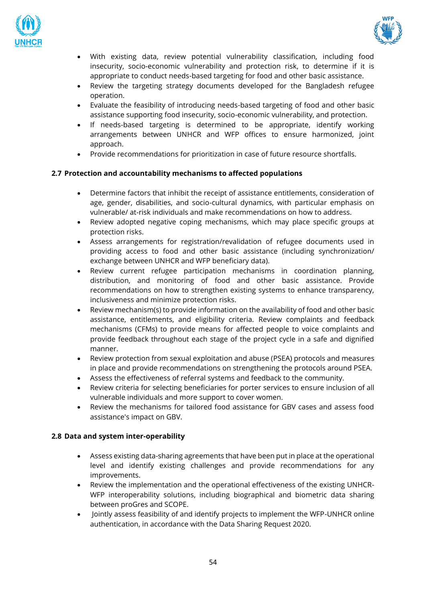



- With existing data, review potential vulnerability classification, including food insecurity, socio-economic vulnerability and protection risk, to determine if it is appropriate to conduct needs-based targeting for food and other basic assistance.
- Review the targeting strategy documents developed for the Bangladesh refugee operation.
- Evaluate the feasibility of introducing needs-based targeting of food and other basic assistance supporting food insecurity, socio-economic vulnerability, and protection.
- If needs-based targeting is determined to be appropriate, identify working arrangements between UNHCR and WFP offices to ensure harmonized, joint approach.
- Provide recommendations for prioritization in case of future resource shortfalls.

#### **2.7 Protection and accountability mechanisms to affected populations**

- Determine factors that inhibit the receipt of assistance entitlements, consideration of age, gender, disabilities, and socio-cultural dynamics, with particular emphasis on vulnerable/ at-risk individuals and make recommendations on how to address.
- Review adopted negative coping mechanisms, which may place specific groups at protection risks.
- Assess arrangements for registration/revalidation of refugee documents used in providing access to food and other basic assistance (including synchronization/ exchange between UNHCR and WFP beneficiary data).
- Review current refugee participation mechanisms in coordination planning, distribution, and monitoring of food and other basic assistance. Provide recommendations on how to strengthen existing systems to enhance transparency, inclusiveness and minimize protection risks.
- Review mechanism(s) to provide information on the availability of food and other basic assistance, entitlements, and eligibility criteria. Review complaints and feedback mechanisms (CFMs) to provide means for affected people to voice complaints and provide feedback throughout each stage of the project cycle in a safe and dignified manner.
- Review protection from sexual exploitation and abuse (PSEA) protocols and measures in place and provide recommendations on strengthening the protocols around PSEA.
- Assess the effectiveness of referral systems and feedback to the community.
- Review criteria for selecting beneficiaries for porter services to ensure inclusion of all vulnerable individuals and more support to cover women.
- Review the mechanisms for tailored food assistance for GBV cases and assess food assistance's impact on GBV.

#### **2.8 Data and system inter-operability**

- Assess existing data-sharing agreements that have been put in place at the operational level and identify existing challenges and provide recommendations for any improvements.
- Review the implementation and the operational effectiveness of the existing UNHCR-WFP interoperability solutions, including biographical and biometric data sharing between proGres and SCOPE.
- Jointly assess feasibility of and identify projects to implement the WFP-UNHCR online authentication, in accordance with the Data Sharing Request 2020.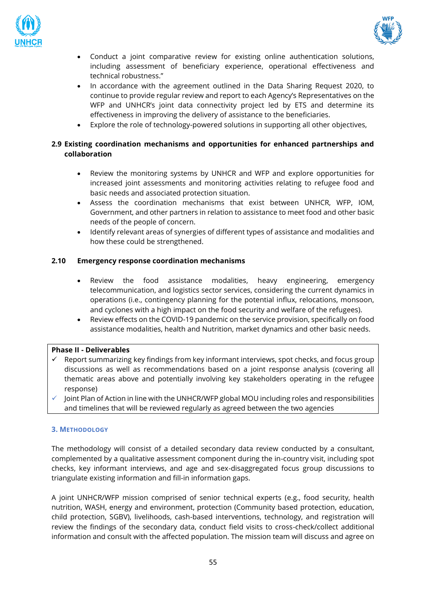



- Conduct a joint comparative review for existing online authentication solutions, including assessment of beneficiary experience, operational effectiveness and technical robustness."
- In accordance with the agreement outlined in the Data Sharing Request 2020, to continue to provide regular review and report to each Agency's Representatives on the WFP and UNHCR's joint data connectivity project led by ETS and determine its effectiveness in improving the delivery of assistance to the beneficiaries.
- Explore the role of technology-powered solutions in supporting all other objectives,

#### **2.9 Existing coordination mechanisms and opportunities for enhanced partnerships and collaboration**

- Review the monitoring systems by UNHCR and WFP and explore opportunities for increased joint assessments and monitoring activities relating to refugee food and basic needs and associated protection situation.
- Assess the coordination mechanisms that exist between UNHCR, WFP, IOM, Government, and other partners in relation to assistance to meet food and other basic needs of the people of concern.
- Identify relevant areas of synergies of different types of assistance and modalities and how these could be strengthened.

#### **2.10 Emergency response coordination mechanisms**

- Review the food assistance modalities, heavy engineering, emergency telecommunication, and logistics sector services, considering the current dynamics in operations (i.e., contingency planning for the potential influx, relocations, monsoon, and cyclones with a high impact on the food security and welfare of the refugees).
- Review effects on the COVID-19 pandemic on the service provision, specifically on food assistance modalities, health and Nutrition, market dynamics and other basic needs.

#### **Phase II - Deliverables**

- $\checkmark$  Report summarizing key findings from key informant interviews, spot checks, and focus group discussions as well as recommendations based on a joint response analysis (covering all thematic areas above and potentially involving key stakeholders operating in the refugee response)
- Joint Plan of Action in line with the UNHCR/WFP global MOU including roles and responsibilities and timelines that will be reviewed regularly as agreed between the two agencies

#### **3. METHODOLOGY**

The methodology will consist of a detailed secondary data review conducted by a consultant, complemented by a qualitative assessment component during the in-country visit, including spot checks, key informant interviews, and age and sex-disaggregated focus group discussions to triangulate existing information and fill-in information gaps.

A joint UNHCR/WFP mission comprised of senior technical experts (e.g., food security, health nutrition, WASH, energy and environment, protection (Community based protection, education, child protection, SGBV), livelihoods, cash-based interventions, technology, and registration will review the findings of the secondary data, conduct field visits to cross-check/collect additional information and consult with the affected population. The mission team will discuss and agree on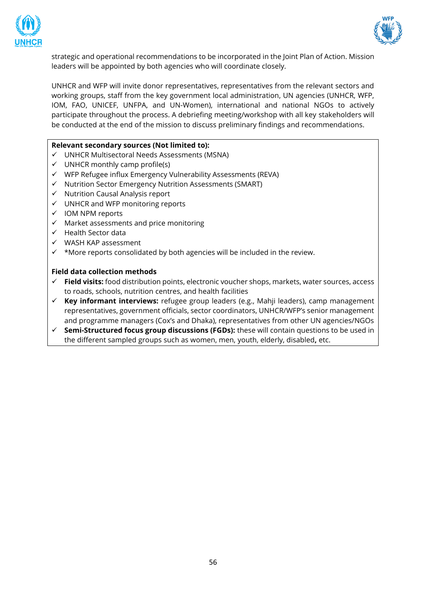



strategic and operational recommendations to be incorporated in the Joint Plan of Action. Mission leaders will be appointed by both agencies who will coordinate closely.

UNHCR and WFP will invite donor representatives, representatives from the relevant sectors and working groups, staff from the key government local administration, UN agencies (UNHCR, WFP, IOM, FAO, UNICEF, UNFPA, and UN-Women), international and national NGOs to actively participate throughout the process. A debriefing meeting/workshop with all key stakeholders will be conducted at the end of the mission to discuss preliminary findings and recommendations.

#### **Relevant secondary sources (Not limited to):**

- ✓ UNHCR Multisectoral Needs Assessments (MSNA)
- $\checkmark$  UNHCR monthly camp profile(s)
- ✓ WFP Refugee influx Emergency Vulnerability Assessments (REVA)
- ✓ Nutrition Sector Emergency Nutrition Assessments (SMART)
- ✓ Nutrition Causal Analysis report
- ✓ UNHCR and WFP monitoring reports
- ✓ IOM NPM reports
- $\checkmark$  Market assessments and price monitoring
- ✓ Health Sector data
- ✓ WASH KAP assessment
- ✓ \*More reports consolidated by both agencies will be included in the review.

#### **Field data collection methods**

- ✓ **Field visits:** food distribution points, electronic voucher shops, markets, water sources, access to roads, schools, nutrition centres, and health facilities
- ✓ **Key informant interviews:** refugee group leaders (e.g., Mahji leaders), camp management representatives, government officials, sector coordinators, UNHCR/WFP's senior management and programme managers (Cox's and Dhaka), representatives from other UN agencies/NGOs
- ✓ **Semi-Structured focus group discussions (FGDs):** these will contain questions to be used in the different sampled groups such as women, men, youth, elderly, disabled**,** etc.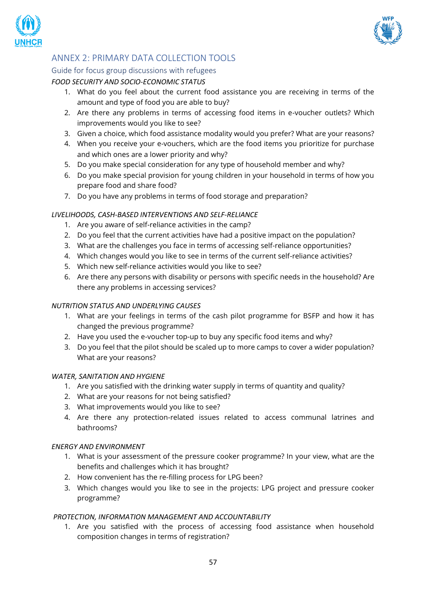



# <span id="page-56-0"></span>ANNEX 2: PRIMARY DATA COLLECTION TOOLS

## <span id="page-56-1"></span>Guide for focus group discussions with refugees

## *FOOD SECURITY AND SOCIO-ECONOMIC STATUS*

- 1. What do you feel about the current food assistance you are receiving in terms of the amount and type of food you are able to buy?
- 2. Are there any problems in terms of accessing food items in e-voucher outlets? Which improvements would you like to see?
- 3. Given a choice, which food assistance modality would you prefer? What are your reasons?
- 4. When you receive your e-vouchers, which are the food items you prioritize for purchase and which ones are a lower priority and why?
- 5. Do you make special consideration for any type of household member and why?
- 6. Do you make special provision for young children in your household in terms of how you prepare food and share food?
- 7. Do you have any problems in terms of food storage and preparation?

#### *LIVELIHOODS, CASH-BASED INTERVENTIONS AND SELF-RELIANCE*

- 1. Are you aware of self-reliance activities in the camp?
- 2. Do you feel that the current activities have had a positive impact on the population?
- 3. What are the challenges you face in terms of accessing self-reliance opportunities?
- 4. Which changes would you like to see in terms of the current self-reliance activities?
- 5. Which new self-reliance activities would you like to see?
- 6. Are there any persons with disability or persons with specific needs in the household? Are there any problems in accessing services?

#### *NUTRITION STATUS AND UNDERLYING CAUSES*

- 1. What are your feelings in terms of the cash pilot programme for BSFP and how it has changed the previous programme?
- 2. Have you used the e-voucher top-up to buy any specific food items and why?
- 3. Do you feel that the pilot should be scaled up to more camps to cover a wider population? What are your reasons?

#### *WATER, SANITATION AND HYGIENE*

- 1. Are you satisfied with the drinking water supply in terms of quantity and quality?
- 2. What are your reasons for not being satisfied?
- 3. What improvements would you like to see?
- 4. Are there any protection-related issues related to access communal latrines and bathrooms?

#### *ENERGY AND ENVIRONMENT*

- 1. What is your assessment of the pressure cooker programme? In your view, what are the benefits and challenges which it has brought?
- 2. How convenient has the re-filling process for LPG been?
- 3. Which changes would you like to see in the projects: LPG project and pressure cooker programme?

#### *PROTECTION, INFORMATION MANAGEMENT AND ACCOUNTABILITY*

1. Are you satisfied with the process of accessing food assistance when household composition changes in terms of registration?